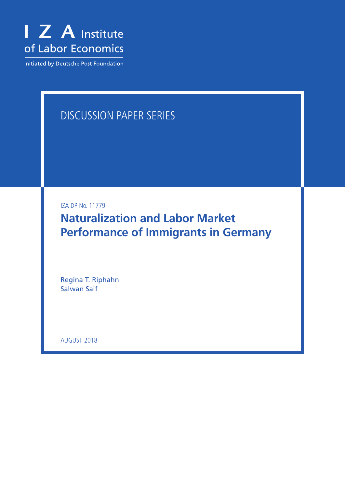

Initiated by Deutsche Post Foundation

# DISCUSSION PAPER SERIES

IZA DP No. 11779

**Naturalization and Labor Market Performance of Immigrants in Germany**

Regina T. Riphahn Salwan Saif

AUGUST 2018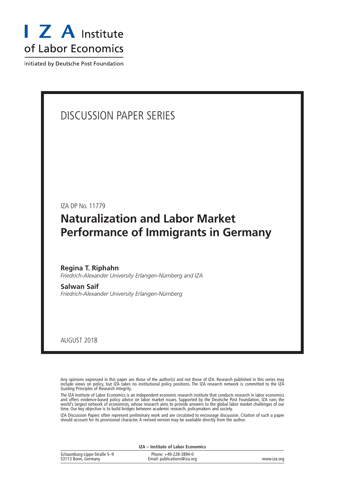

Initiated by Deutsche Post Foundation

# DISCUSSION PAPER SERIES

IZA DP No. 11779

# **Naturalization and Labor Market Performance of Immigrants in Germany**

#### **Regina T. Riphahn** *Friedrich-Alexander University Erlangen-Nürnberg and IZA*

**Salwan Saif** *Friedrich-Alexander University Erlangen-Nürnberg*

AUGUST 2018

Any opinions expressed in this paper are those of the author(s) and not those of IZA. Research published in this series may include views on policy, but IZA takes no institutional policy positions. The IZA research network is committed to the IZA Guiding Principles of Research Integrity.

The IZA Institute of Labor Economics is an independent economic research institute that conducts research in labor economics and offers evidence-based policy advice on labor market issues. Supported by the Deutsche Post Foundation, IZA runs the world's largest network of economists, whose research aims to provide answers to the global labor market challenges of our time. Our key objective is to build bridges between academic research, policymakers and society.

IZA Discussion Papers often represent preliminary work and are circulated to encourage discussion. Citation of such a paper should account for its provisional character. A revised version may be available directly from the author.

|                                                    | IZA – Institute of Labor Economics                   |             |
|----------------------------------------------------|------------------------------------------------------|-------------|
| Schaumburg-Lippe-Straße 5-9<br>53113 Bonn, Germany | Phone: +49-228-3894-0<br>Email: publications@iza.org | www.iza.org |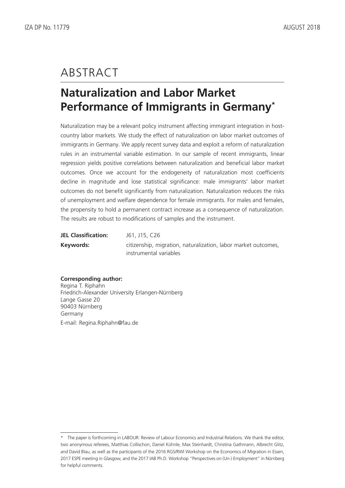# ABSTRACT

# **Naturalization and Labor Market Performance of Immigrants in Germany\***

Naturalization may be a relevant policy instrument affecting immigrant integration in hostcountry labor markets. We study the effect of naturalization on labor market outcomes of immigrants in Germany. We apply recent survey data and exploit a reform of naturalization rules in an instrumental variable estimation. In our sample of recent immigrants, linear regression yields positive correlations between naturalization and beneficial labor market outcomes. Once we account for the endogeneity of naturalization most coefficients decline in magnitude and lose statistical significance: male immigrants' labor market outcomes do not benefit significantly from naturalization. Naturalization reduces the risks of unemployment and welfare dependence for female immigrants. For males and females, the propensity to hold a permanent contract increase as a consequence of naturalization. The results are robust to modifications of samples and the instrument.

| <b>JEL Classification:</b> | J61, J15, C26                                                  |
|----------------------------|----------------------------------------------------------------|
| Keywords:                  | citizenship, migration, naturalization, labor market outcomes, |
|                            | instrumental variables                                         |

## **Corresponding author:**

Regina T. Riphahn Friedrich-Alexander University Erlangen-Nürnberg Lange Gasse 20 90403 Nürnberg Germany E-mail: Regina.Riphahn@fau.de

<sup>\*</sup> The paper is forthcoming in LABOUR: Review of Labour Economics and Industrial Relations. We thank the editor, two anonymous referees, Matthias Collischon, Daniel Kühnle, Max Steinhardt, Christina Gathmann, Albrecht Glitz, and David Blau, as well as the participants of the 2016 RGS/RWI Workshop on the Economics of Migration in Essen, 2017 ESPE meeting in Glasgow, and the 2017 IAB Ph.D. Workshop "Perspectives on (Un-) Employment" in Nürnberg for helpful comments.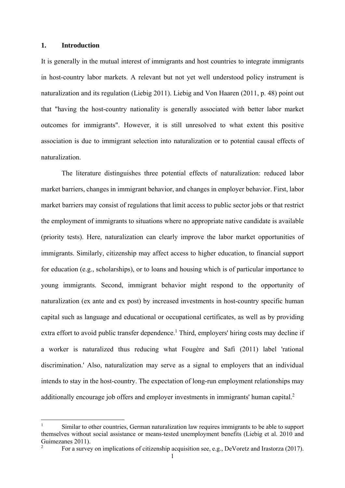#### **1. Introduction**

It is generally in the mutual interest of immigrants and host countries to integrate immigrants in host-country labor markets. A relevant but not yet well understood policy instrument is naturalization and its regulation (Liebig 2011). Liebig and Von Haaren (2011, p. 48) point out that "having the host-country nationality is generally associated with better labor market outcomes for immigrants". However, it is still unresolved to what extent this positive association is due to immigrant selection into naturalization or to potential causal effects of naturalization.

 The literature distinguishes three potential effects of naturalization: reduced labor market barriers, changes in immigrant behavior, and changes in employer behavior. First, labor market barriers may consist of regulations that limit access to public sector jobs or that restrict the employment of immigrants to situations where no appropriate native candidate is available (priority tests). Here, naturalization can clearly improve the labor market opportunities of immigrants. Similarly, citizenship may affect access to higher education, to financial support for education (e.g., scholarships), or to loans and housing which is of particular importance to young immigrants. Second, immigrant behavior might respond to the opportunity of naturalization (ex ante and ex post) by increased investments in host-country specific human capital such as language and educational or occupational certificates, as well as by providing extra effort to avoid public transfer dependence.<sup>1</sup> Third, employers' hiring costs may decline if a worker is naturalized thus reducing what Fougère and Safi (2011) label 'rational discrimination.' Also, naturalization may serve as a signal to employers that an individual intends to stay in the host-country. The expectation of long-run employment relationships may additionally encourage job offers and employer investments in immigrants' human capital.<sup>2</sup>

<sup>1</sup> Similar to other countries, German naturalization law requires immigrants to be able to support themselves without social assistance or means-tested unemployment benefits (Liebig et al. 2010 and Guimezanes 2011).

<sup>2</sup> For a survey on implications of citizenship acquisition see, e.g., DeVoretz and Irastorza (2017).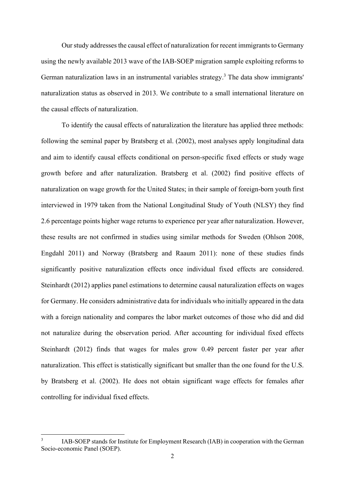Our study addresses the causal effect of naturalization for recent immigrants to Germany using the newly available 2013 wave of the IAB-SOEP migration sample exploiting reforms to German naturalization laws in an instrumental variables strategy.<sup>3</sup> The data show immigrants' naturalization status as observed in 2013. We contribute to a small international literature on the causal effects of naturalization.

 To identify the causal effects of naturalization the literature has applied three methods: following the seminal paper by Bratsberg et al. (2002), most analyses apply longitudinal data and aim to identify causal effects conditional on person-specific fixed effects or study wage growth before and after naturalization. Bratsberg et al. (2002) find positive effects of naturalization on wage growth for the United States; in their sample of foreign-born youth first interviewed in 1979 taken from the National Longitudinal Study of Youth (NLSY) they find 2.6 percentage points higher wage returns to experience per year after naturalization. However, these results are not confirmed in studies using similar methods for Sweden (Ohlson 2008, Engdahl 2011) and Norway (Bratsberg and Raaum 2011): none of these studies finds significantly positive naturalization effects once individual fixed effects are considered. Steinhardt (2012) applies panel estimations to determine causal naturalization effects on wages for Germany. He considers administrative data for individuals who initially appeared in the data with a foreign nationality and compares the labor market outcomes of those who did and did not naturalize during the observation period. After accounting for individual fixed effects Steinhardt (2012) finds that wages for males grow 0.49 percent faster per year after naturalization. This effect is statistically significant but smaller than the one found for the U.S. by Bratsberg et al. (2002). He does not obtain significant wage effects for females after controlling for individual fixed effects.

<sup>3</sup> IAB-SOEP stands for Institute for Employment Research (IAB) in cooperation with the German Socio-economic Panel (SOEP).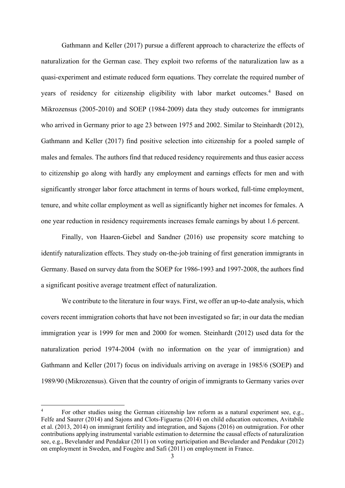Gathmann and Keller (2017) pursue a different approach to characterize the effects of naturalization for the German case. They exploit two reforms of the naturalization law as a quasi-experiment and estimate reduced form equations. They correlate the required number of years of residency for citizenship eligibility with labor market outcomes.<sup>4</sup> Based on Mikrozensus (2005-2010) and SOEP (1984-2009) data they study outcomes for immigrants who arrived in Germany prior to age 23 between 1975 and 2002. Similar to Steinhardt (2012), Gathmann and Keller (2017) find positive selection into citizenship for a pooled sample of males and females. The authors find that reduced residency requirements and thus easier access to citizenship go along with hardly any employment and earnings effects for men and with significantly stronger labor force attachment in terms of hours worked, full-time employment, tenure, and white collar employment as well as significantly higher net incomes for females. A one year reduction in residency requirements increases female earnings by about 1.6 percent.

 Finally, von Haaren-Giebel and Sandner (2016) use propensity score matching to identify naturalization effects. They study on-the-job training of first generation immigrants in Germany. Based on survey data from the SOEP for 1986-1993 and 1997-2008, the authors find a significant positive average treatment effect of naturalization.

 We contribute to the literature in four ways. First, we offer an up-to-date analysis, which covers recent immigration cohorts that have not been investigated so far; in our data the median immigration year is 1999 for men and 2000 for women. Steinhardt (2012) used data for the naturalization period 1974-2004 (with no information on the year of immigration) and Gathmann and Keller (2017) focus on individuals arriving on average in 1985/6 (SOEP) and 1989/90 (Mikrozensus). Given that the country of origin of immigrants to Germany varies over

<sup>4</sup> For other studies using the German citizenship law reform as a natural experiment see, e.g., Felfe and Saurer (2014) and Sajons and Clots-Figueras (2014) on child education outcomes, Avitabile et al. (2013, 2014) on immigrant fertility and integration, and Sajons (2016) on outmigration. For other contributions applying instrumental variable estimation to determine the causal effects of naturalization see, e.g., Bevelander and Pendakur (2011) on voting participation and Bevelander and Pendakur (2012) on employment in Sweden, and Fougère and Safi (2011) on employment in France.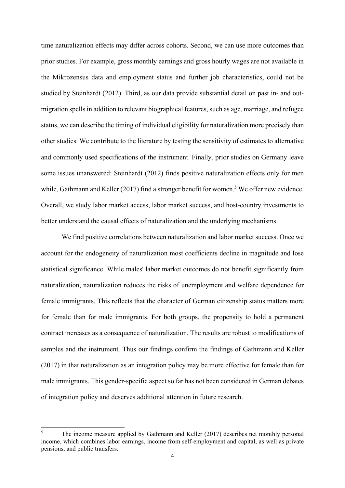time naturalization effects may differ across cohorts. Second, we can use more outcomes than prior studies. For example, gross monthly earnings and gross hourly wages are not available in the Mikrozensus data and employment status and further job characteristics, could not be studied by Steinhardt (2012). Third, as our data provide substantial detail on past in- and outmigration spells in addition to relevant biographical features, such as age, marriage, and refugee status, we can describe the timing of individual eligibility for naturalization more precisely than other studies. We contribute to the literature by testing the sensitivity of estimates to alternative and commonly used specifications of the instrument. Finally, prior studies on Germany leave some issues unanswered: Steinhardt (2012) finds positive naturalization effects only for men while, Gathmann and Keller (2017) find a stronger benefit for women.<sup>5</sup> We offer new evidence. Overall, we study labor market access, labor market success, and host-country investments to better understand the causal effects of naturalization and the underlying mechanisms.

 We find positive correlations between naturalization and labor market success. Once we account for the endogeneity of naturalization most coefficients decline in magnitude and lose statistical significance. While males' labor market outcomes do not benefit significantly from naturalization, naturalization reduces the risks of unemployment and welfare dependence for female immigrants. This reflects that the character of German citizenship status matters more for female than for male immigrants. For both groups, the propensity to hold a permanent contract increases as a consequence of naturalization. The results are robust to modifications of samples and the instrument. Thus our findings confirm the findings of Gathmann and Keller (2017) in that naturalization as an integration policy may be more effective for female than for male immigrants. This gender-specific aspect so far has not been considered in German debates of integration policy and deserves additional attention in future research.

<sup>5</sup> The income measure applied by Gathmann and Keller (2017) describes net monthly personal income, which combines labor earnings, income from self-employment and capital, as well as private pensions, and public transfers.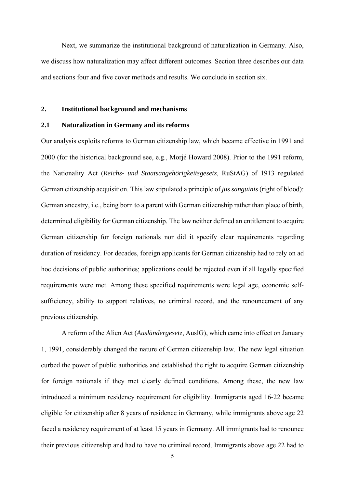Next, we summarize the institutional background of naturalization in Germany. Also, we discuss how naturalization may affect different outcomes. Section three describes our data and sections four and five cover methods and results. We conclude in section six.

#### **2. Institutional background and mechanisms**

### **2.1 Naturalization in Germany and its reforms**

Our analysis exploits reforms to German citizenship law, which became effective in 1991 and 2000 (for the historical background see, e.g., Morjé Howard 2008). Prior to the 1991 reform, the Nationality Act (*Reichs- und Staatsangehörigkeitsgesetz*, RuStAG) of 1913 regulated German citizenship acquisition. This law stipulated a principle of *jus sanguinis* (right of blood): German ancestry, i.e., being born to a parent with German citizenship rather than place of birth, determined eligibility for German citizenship. The law neither defined an entitlement to acquire German citizenship for foreign nationals nor did it specify clear requirements regarding duration of residency. For decades, foreign applicants for German citizenship had to rely on ad hoc decisions of public authorities; applications could be rejected even if all legally specified requirements were met. Among these specified requirements were legal age, economic selfsufficiency, ability to support relatives, no criminal record, and the renouncement of any previous citizenship.

 A reform of the Alien Act (*Ausländergesetz*, AuslG), which came into effect on January 1, 1991, considerably changed the nature of German citizenship law. The new legal situation curbed the power of public authorities and established the right to acquire German citizenship for foreign nationals if they met clearly defined conditions. Among these, the new law introduced a minimum residency requirement for eligibility. Immigrants aged 16-22 became eligible for citizenship after 8 years of residence in Germany, while immigrants above age 22 faced a residency requirement of at least 15 years in Germany. All immigrants had to renounce their previous citizenship and had to have no criminal record. Immigrants above age 22 had to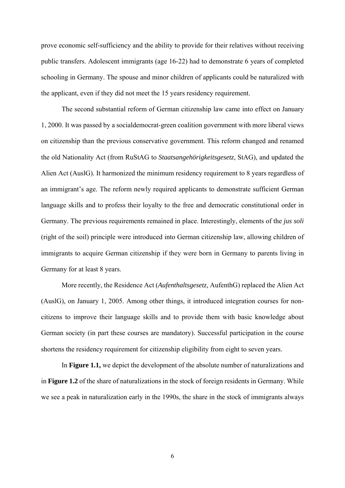prove economic self-sufficiency and the ability to provide for their relatives without receiving public transfers. Adolescent immigrants (age 16-22) had to demonstrate 6 years of completed schooling in Germany. The spouse and minor children of applicants could be naturalized with the applicant, even if they did not meet the 15 years residency requirement.

 The second substantial reform of German citizenship law came into effect on January 1, 2000. It was passed by a socialdemocrat-green coalition government with more liberal views on citizenship than the previous conservative government. This reform changed and renamed the old Nationality Act (from RuStAG to *Staatsangehörigkeitsgesetz*, StAG), and updated the Alien Act (AuslG). It harmonized the minimum residency requirement to 8 years regardless of an immigrant's age. The reform newly required applicants to demonstrate sufficient German language skills and to profess their loyalty to the free and democratic constitutional order in Germany. The previous requirements remained in place. Interestingly, elements of the *jus soli* (right of the soil) principle were introduced into German citizenship law, allowing children of immigrants to acquire German citizenship if they were born in Germany to parents living in Germany for at least 8 years.

 More recently, the Residence Act (*Aufenthaltsgesetz,* AufenthG) replaced the Alien Act (AuslG), on January 1, 2005. Among other things, it introduced integration courses for noncitizens to improve their language skills and to provide them with basic knowledge about German society (in part these courses are mandatory). Successful participation in the course shortens the residency requirement for citizenship eligibility from eight to seven years.

 In **Figure 1.1,** we depict the development of the absolute number of naturalizations and in **Figure 1.2** of the share of naturalizations in the stock of foreign residents in Germany. While we see a peak in naturalization early in the 1990s, the share in the stock of immigrants always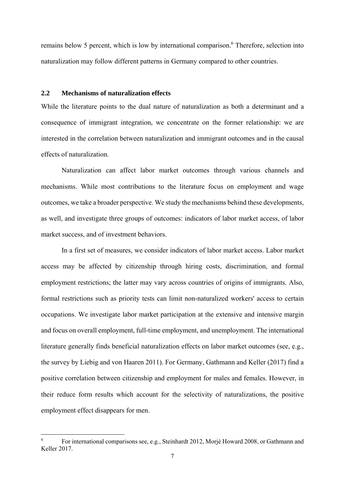remains below 5 percent, which is low by international comparison.<sup>6</sup> Therefore, selection into naturalization may follow different patterns in Germany compared to other countries.

### **2.2 Mechanisms of naturalization effects**

While the literature points to the dual nature of naturalization as both a determinant and a consequence of immigrant integration, we concentrate on the former relationship: we are interested in the correlation between naturalization and immigrant outcomes and in the causal effects of naturalization.

 Naturalization can affect labor market outcomes through various channels and mechanisms. While most contributions to the literature focus on employment and wage outcomes, we take a broader perspective. We study the mechanisms behind these developments, as well, and investigate three groups of outcomes: indicators of labor market access, of labor market success, and of investment behaviors.

 In a first set of measures, we consider indicators of labor market access. Labor market access may be affected by citizenship through hiring costs, discrimination, and formal employment restrictions; the latter may vary across countries of origins of immigrants. Also, formal restrictions such as priority tests can limit non-naturalized workers' access to certain occupations. We investigate labor market participation at the extensive and intensive margin and focus on overall employment, full-time employment, and unemployment. The international literature generally finds beneficial naturalization effects on labor market outcomes (see, e.g., the survey by Liebig and von Haaren 2011). For Germany, Gathmann and Keller (2017) find a positive correlation between citizenship and employment for males and females. However, in their reduce form results which account for the selectivity of naturalizations, the positive employment effect disappears for men.

<sup>6</sup> For international comparisons see, e.g., Steinhardt 2012, Morjé Howard 2008, or Gathmann and Keller 2017.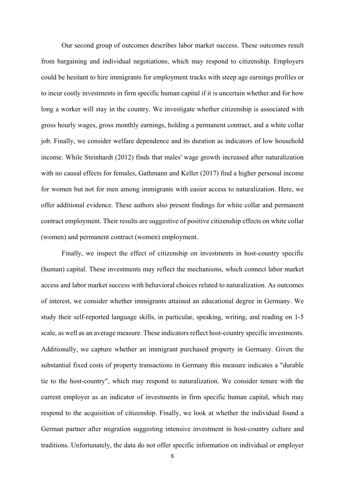Our second group of outcomes describes labor market success. These outcomes result from bargaining and individual negotiations, which may respond to citizenship. Employers could be hesitant to hire immigrants for employment tracks with steep age earnings profiles or to incur costly investments in firm specific human capital if it is uncertain whether and for how long a worker will stay in the country. We investigate whether citizenship is associated with gross hourly wages, gross monthly earnings, holding a permanent contract, and a white collar job. Finally, we consider welfare dependence and its duration as indicators of low household income. While Steinhardt (2012) finds that males' wage growth increased after naturalization with no causal effects for females, Gathmann and Keller (2017) find a higher personal income for women but not for men among immigrants with easier access to naturalization. Here, we offer additional evidence. These authors also present findings for white collar and permanent contract employment. Their results are suggestive of positive citizenship effects on white collar (women) and permanent contract (women) employment.

 Finally, we inspect the effect of citizenship on investments in host-country specific (human) capital. These investments may reflect the mechanisms, which connect labor market access and labor market success with behavioral choices related to naturalization. As outcomes of interest, we consider whether immigrants attained an educational degree in Germany. We study their self-reported language skills, in particular, speaking, writing, and reading on 1-5 scale, as well as an average measure. These indicators reflect host-country specific investments. Additionally, we capture whether an immigrant purchased property in Germany. Given the substantial fixed costs of property transactions in Germany this measure indicates a "durable tie to the host-country", which may respond to naturalization. We consider tenure with the current employer as an indicator of investments in firm specific human capital, which may respond to the acquisition of citizenship. Finally, we look at whether the individual found a German partner after migration suggesting intensive investment in host-country culture and traditions. Unfortunately, the data do not offer specific information on individual or employer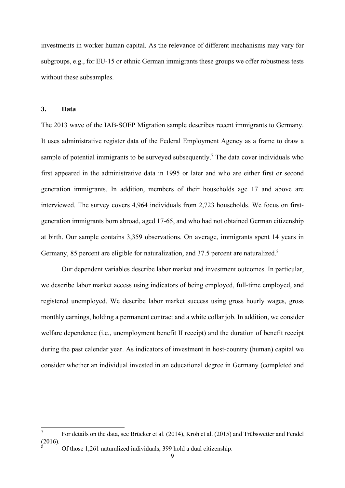investments in worker human capital. As the relevance of different mechanisms may vary for subgroups, e.g., for EU-15 or ethnic German immigrants these groups we offer robustness tests without these subsamples.

#### **3. Data**

The 2013 wave of the IAB-SOEP Migration sample describes recent immigrants to Germany. It uses administrative register data of the Federal Employment Agency as a frame to draw a sample of potential immigrants to be surveyed subsequently.<sup>7</sup> The data cover individuals who first appeared in the administrative data in 1995 or later and who are either first or second generation immigrants. In addition, members of their households age 17 and above are interviewed. The survey covers 4,964 individuals from 2,723 households. We focus on firstgeneration immigrants born abroad, aged 17-65, and who had not obtained German citizenship at birth. Our sample contains 3,359 observations. On average, immigrants spent 14 years in Germany, 85 percent are eligible for naturalization, and 37.5 percent are naturalized.<sup>8</sup>

 Our dependent variables describe labor market and investment outcomes. In particular, we describe labor market access using indicators of being employed, full-time employed, and registered unemployed. We describe labor market success using gross hourly wages, gross monthly earnings, holding a permanent contract and a white collar job. In addition, we consider welfare dependence (i.e., unemployment benefit II receipt) and the duration of benefit receipt during the past calendar year. As indicators of investment in host-country (human) capital we consider whether an individual invested in an educational degree in Germany (completed and

<sup>7</sup> For details on the data, see Brücker et al. (2014), Kroh et al. (2015) and Trübswetter and Fendel (2016). 8

Of those 1,261 naturalized individuals, 399 hold a dual citizenship.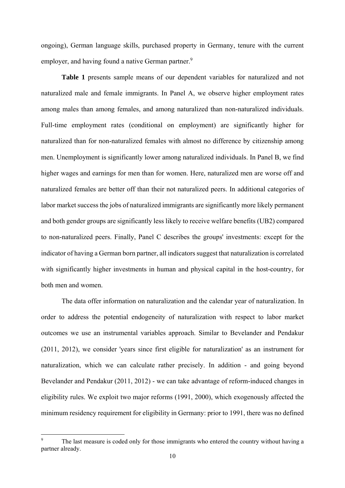ongoing), German language skills, purchased property in Germany, tenure with the current employer, and having found a native German partner.<sup>9</sup>

**Table 1** presents sample means of our dependent variables for naturalized and not naturalized male and female immigrants. In Panel A, we observe higher employment rates among males than among females, and among naturalized than non-naturalized individuals. Full-time employment rates (conditional on employment) are significantly higher for naturalized than for non-naturalized females with almost no difference by citizenship among men. Unemployment is significantly lower among naturalized individuals. In Panel B, we find higher wages and earnings for men than for women. Here, naturalized men are worse off and naturalized females are better off than their not naturalized peers. In additional categories of labor market success the jobs of naturalized immigrants are significantly more likely permanent and both gender groups are significantly less likely to receive welfare benefits (UB2) compared to non-naturalized peers. Finally, Panel C describes the groups' investments: except for the indicator of having a German born partner, all indicators suggest that naturalization is correlated with significantly higher investments in human and physical capital in the host-country, for both men and women.

 The data offer information on naturalization and the calendar year of naturalization. In order to address the potential endogeneity of naturalization with respect to labor market outcomes we use an instrumental variables approach. Similar to Bevelander and Pendakur (2011, 2012), we consider 'years since first eligible for naturalization' as an instrument for naturalization, which we can calculate rather precisely. In addition - and going beyond Bevelander and Pendakur (2011, 2012) - we can take advantage of reform-induced changes in eligibility rules. We exploit two major reforms (1991, 2000), which exogenously affected the minimum residency requirement for eligibility in Germany: prior to 1991, there was no defined

<sup>9</sup> The last measure is coded only for those immigrants who entered the country without having a partner already.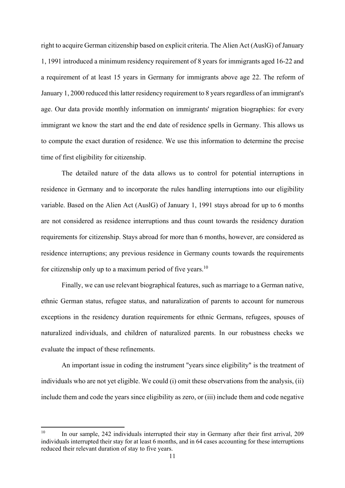right to acquire German citizenship based on explicit criteria. The Alien Act (AuslG) of January 1, 1991 introduced a minimum residency requirement of 8 years for immigrants aged 16-22 and a requirement of at least 15 years in Germany for immigrants above age 22. The reform of January 1, 2000 reduced this latter residency requirement to 8 years regardless of an immigrant's age. Our data provide monthly information on immigrants' migration biographies: for every immigrant we know the start and the end date of residence spells in Germany. This allows us to compute the exact duration of residence. We use this information to determine the precise time of first eligibility for citizenship.

 The detailed nature of the data allows us to control for potential interruptions in residence in Germany and to incorporate the rules handling interruptions into our eligibility variable. Based on the Alien Act (AuslG) of January 1, 1991 stays abroad for up to 6 months are not considered as residence interruptions and thus count towards the residency duration requirements for citizenship. Stays abroad for more than 6 months, however, are considered as residence interruptions; any previous residence in Germany counts towards the requirements for citizenship only up to a maximum period of five years.10

 Finally, we can use relevant biographical features, such as marriage to a German native, ethnic German status, refugee status, and naturalization of parents to account for numerous exceptions in the residency duration requirements for ethnic Germans, refugees, spouses of naturalized individuals, and children of naturalized parents. In our robustness checks we evaluate the impact of these refinements.

 An important issue in coding the instrument "years since eligibility" is the treatment of individuals who are not yet eligible. We could (i) omit these observations from the analysis, (ii) include them and code the years since eligibility as zero, or (iii) include them and code negative

<sup>&</sup>lt;sup>10</sup> In our sample, 242 individuals interrupted their stay in Germany after their first arrival, 209 individuals interrupted their stay for at least 6 months, and in 64 cases accounting for these interruptions reduced their relevant duration of stay to five years.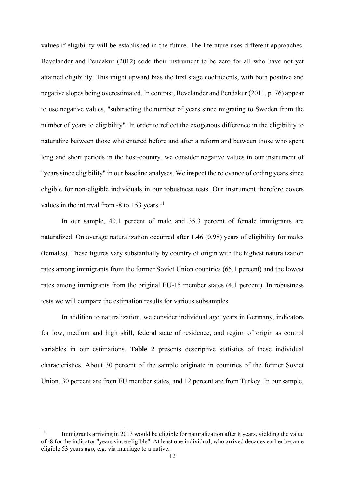values if eligibility will be established in the future. The literature uses different approaches. Bevelander and Pendakur (2012) code their instrument to be zero for all who have not yet attained eligibility. This might upward bias the first stage coefficients, with both positive and negative slopes being overestimated. In contrast, Bevelander and Pendakur (2011, p. 76) appear to use negative values, "subtracting the number of years since migrating to Sweden from the number of years to eligibility". In order to reflect the exogenous difference in the eligibility to naturalize between those who entered before and after a reform and between those who spent long and short periods in the host-country, we consider negative values in our instrument of "years since eligibility" in our baseline analyses. We inspect the relevance of coding years since eligible for non-eligible individuals in our robustness tests. Our instrument therefore covers values in the interval from  $-8$  to  $+53$  years.<sup>11</sup>

 In our sample, 40.1 percent of male and 35.3 percent of female immigrants are naturalized. On average naturalization occurred after 1.46 (0.98) years of eligibility for males (females). These figures vary substantially by country of origin with the highest naturalization rates among immigrants from the former Soviet Union countries (65.1 percent) and the lowest rates among immigrants from the original EU-15 member states (4.1 percent). In robustness tests we will compare the estimation results for various subsamples.

 In addition to naturalization, we consider individual age, years in Germany, indicators for low, medium and high skill, federal state of residence, and region of origin as control variables in our estimations. **Table 2** presents descriptive statistics of these individual characteristics. About 30 percent of the sample originate in countries of the former Soviet Union, 30 percent are from EU member states, and 12 percent are from Turkey. In our sample,

<sup>&</sup>lt;sup>11</sup> Immigrants arriving in 2013 would be eligible for naturalization after 8 years, yielding the value of -8 for the indicator "years since eligible". At least one individual, who arrived decades earlier became eligible 53 years ago, e.g. via marriage to a native.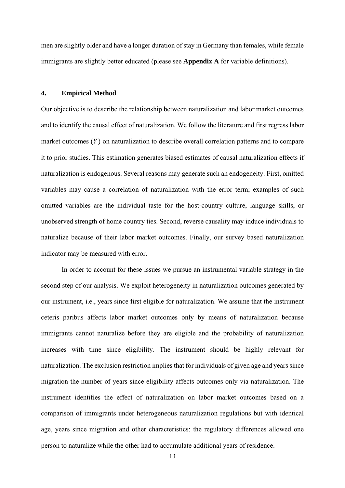men are slightly older and have a longer duration of stay in Germany than females, while female immigrants are slightly better educated (please see **Appendix A** for variable definitions).

### **4. Empirical Method**

Our objective is to describe the relationship between naturalization and labor market outcomes and to identify the causal effect of naturalization. We follow the literature and first regress labor market outcomes  $(Y)$  on naturalization to describe overall correlation patterns and to compare it to prior studies. This estimation generates biased estimates of causal naturalization effects if naturalization is endogenous. Several reasons may generate such an endogeneity. First, omitted variables may cause a correlation of naturalization with the error term; examples of such omitted variables are the individual taste for the host-country culture, language skills, or unobserved strength of home country ties. Second, reverse causality may induce individuals to naturalize because of their labor market outcomes. Finally, our survey based naturalization indicator may be measured with error.

 In order to account for these issues we pursue an instrumental variable strategy in the second step of our analysis. We exploit heterogeneity in naturalization outcomes generated by our instrument, i.e., years since first eligible for naturalization. We assume that the instrument ceteris paribus affects labor market outcomes only by means of naturalization because immigrants cannot naturalize before they are eligible and the probability of naturalization increases with time since eligibility. The instrument should be highly relevant for naturalization. The exclusion restriction implies that for individuals of given age and years since migration the number of years since eligibility affects outcomes only via naturalization. The instrument identifies the effect of naturalization on labor market outcomes based on a comparison of immigrants under heterogeneous naturalization regulations but with identical age, years since migration and other characteristics: the regulatory differences allowed one person to naturalize while the other had to accumulate additional years of residence.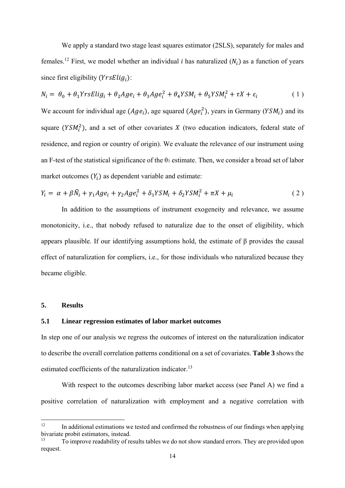We apply a standard two stage least squares estimator (2SLS), separately for males and females.<sup>12</sup> First, we model whether an individual *i* has naturalized  $(N_i)$  as a function of years since first eligibility  $(YrSElig_i)$ :

$$
N_i = \theta_0 + \theta_1 Y r s E lig_i + \theta_2 Age_i + \theta_3 Age_i^2 + \theta_4 Y SM_i + \theta_5 Y SM_i^2 + \tau X + \varepsilon_i
$$
 (1)

We account for individual age  $(Age_i)$ , age squared  $(Age_i^2)$ , years in Germany (*YSM<sub>i</sub>*) and its square ( $YSM_i^2$ ), and a set of other covariates X (two education indicators, federal state of residence, and region or country of origin). We evaluate the relevance of our instrument using an F-test of the statistical significance of the  $\theta_1$  estimate. Then, we consider a broad set of labor market outcomes  $(Y_i)$  as dependent variable and estimate:

$$
Y_i = \alpha + \beta \widehat{N}_i + \gamma_1 A g e_i + \gamma_2 A g e_i^2 + \delta_1 Y S M_i + \delta_2 Y S M_i^2 + \pi X + \mu_i
$$
\n(2)

 In addition to the assumptions of instrument exogeneity and relevance, we assume monotonicity, i.e., that nobody refused to naturalize due to the onset of eligibility, which appears plausible. If our identifying assumptions hold, the estimate of β provides the causal effect of naturalization for compliers, i.e., for those individuals who naturalized because they became eligible.

### **5. Results**

#### **5.1 Linear regression estimates of labor market outcomes**

In step one of our analysis we regress the outcomes of interest on the naturalization indicator to describe the overall correlation patterns conditional on a set of covariates. **Table 3** shows the estimated coefficients of the naturalization indicator.<sup>13</sup>

 With respect to the outcomes describing labor market access (see Panel A) we find a positive correlation of naturalization with employment and a negative correlation with

<sup>&</sup>lt;sup>12</sup> In additional estimations we tested and confirmed the robustness of our findings when applying bivariate probit estimators, instead.

<sup>&</sup>lt;sup>13</sup> To improve readability of results tables we do not show standard errors. They are provided upon request.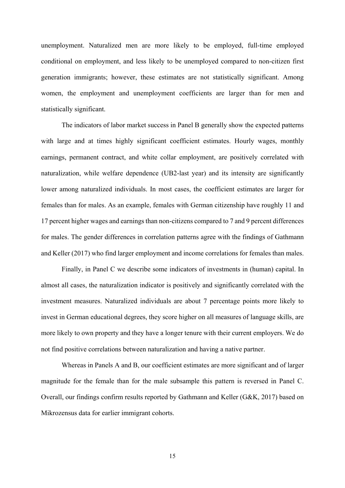unemployment. Naturalized men are more likely to be employed, full-time employed conditional on employment, and less likely to be unemployed compared to non-citizen first generation immigrants; however, these estimates are not statistically significant. Among women, the employment and unemployment coefficients are larger than for men and statistically significant.

 The indicators of labor market success in Panel B generally show the expected patterns with large and at times highly significant coefficient estimates. Hourly wages, monthly earnings, permanent contract, and white collar employment, are positively correlated with naturalization, while welfare dependence (UB2-last year) and its intensity are significantly lower among naturalized individuals. In most cases, the coefficient estimates are larger for females than for males. As an example, females with German citizenship have roughly 11 and 17 percent higher wages and earnings than non-citizens compared to 7 and 9 percent differences for males. The gender differences in correlation patterns agree with the findings of Gathmann and Keller (2017) who find larger employment and income correlations for females than males.

 Finally, in Panel C we describe some indicators of investments in (human) capital. In almost all cases, the naturalization indicator is positively and significantly correlated with the investment measures. Naturalized individuals are about 7 percentage points more likely to invest in German educational degrees, they score higher on all measures of language skills, are more likely to own property and they have a longer tenure with their current employers. We do not find positive correlations between naturalization and having a native partner.

 Whereas in Panels A and B, our coefficient estimates are more significant and of larger magnitude for the female than for the male subsample this pattern is reversed in Panel C. Overall, our findings confirm results reported by Gathmann and Keller (G&K, 2017) based on Mikrozensus data for earlier immigrant cohorts.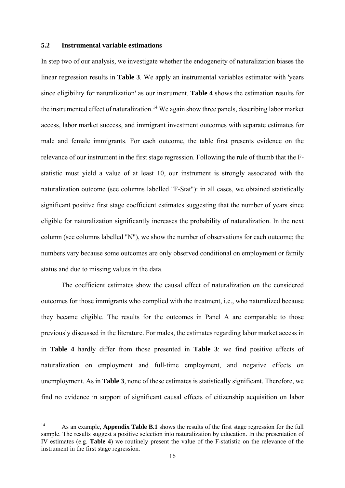#### **5.2 Instrumental variable estimations**

In step two of our analysis, we investigate whether the endogeneity of naturalization biases the linear regression results in **Table 3**. We apply an instrumental variables estimator with 'years since eligibility for naturalization' as our instrument. **Table 4** shows the estimation results for the instrumented effect of naturalization.<sup>14</sup> We again show three panels, describing labor market access, labor market success, and immigrant investment outcomes with separate estimates for male and female immigrants. For each outcome, the table first presents evidence on the relevance of our instrument in the first stage regression. Following the rule of thumb that the Fstatistic must yield a value of at least 10, our instrument is strongly associated with the naturalization outcome (see columns labelled "F-Stat"): in all cases, we obtained statistically significant positive first stage coefficient estimates suggesting that the number of years since eligible for naturalization significantly increases the probability of naturalization. In the next column (see columns labelled "N"), we show the number of observations for each outcome; the numbers vary because some outcomes are only observed conditional on employment or family status and due to missing values in the data.

 The coefficient estimates show the causal effect of naturalization on the considered outcomes for those immigrants who complied with the treatment, i.e., who naturalized because they became eligible. The results for the outcomes in Panel A are comparable to those previously discussed in the literature. For males, the estimates regarding labor market access in in **Table 4** hardly differ from those presented in **Table 3**: we find positive effects of naturalization on employment and full-time employment, and negative effects on unemployment. As in **Table 3**, none of these estimates is statistically significant. Therefore, we find no evidence in support of significant causal effects of citizenship acquisition on labor

<sup>14</sup> As an example, **Appendix Table B.1** shows the results of the first stage regression for the full sample. The results suggest a positive selection into naturalization by education. In the presentation of IV estimates (e.g. **Table 4**) we routinely present the value of the F-statistic on the relevance of the instrument in the first stage regression.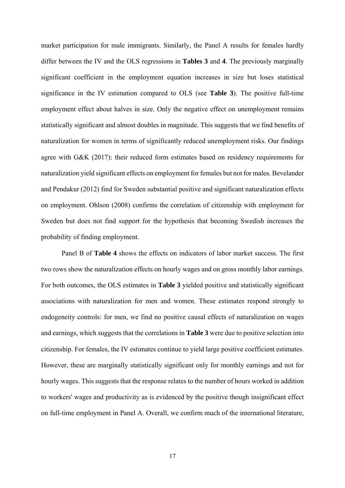market participation for male immigrants. Similarly, the Panel A results for females hardly differ between the IV and the OLS regressions in **Tables 3** and **4**. The previously marginally significant coefficient in the employment equation increases in size but loses statistical significance in the IV estimation compared to OLS (see **Table 3**). The positive full-time employment effect about halves in size. Only the negative effect on unemployment remains statistically significant and almost doubles in magnitude. This suggests that we find benefits of naturalization for women in terms of significantly reduced unemployment risks. Our findings agree with G&K (2017): their reduced form estimates based on residency requirements for naturalization yield significant effects on employment for females but not for males. Bevelander and Pendakur (2012) find for Sweden substantial positive and significant naturalization effects on employment. Ohlson (2008) confirms the correlation of citizenship with employment for Sweden but does not find support for the hypothesis that becoming Swedish increases the probability of finding employment.

 Panel B of **Table 4** shows the effects on indicators of labor market success. The first two rows show the naturalization effects on hourly wages and on gross monthly labor earnings. For both outcomes, the OLS estimates in **Table 3** yielded positive and statistically significant associations with naturalization for men and women. These estimates respond strongly to endogeneity controls: for men, we find no positive causal effects of naturalization on wages and earnings, which suggests that the correlations in **Table 3** were due to positive selection into citizenship. For females, the IV estimates continue to yield large positive coefficient estimates. However, these are marginally statistically significant only for monthly earnings and not for hourly wages. This suggests that the response relates to the number of hours worked in addition to workers' wages and productivity as is evidenced by the positive though insignificant effect on full-time employment in Panel A. Overall, we confirm much of the international literature,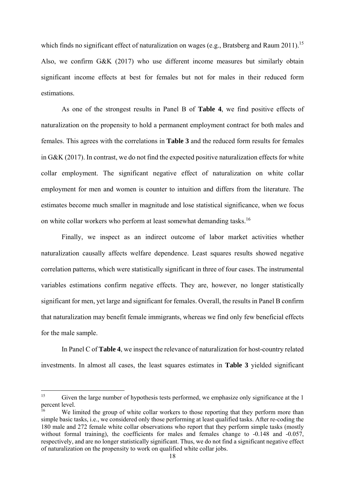which finds no significant effect of naturalization on wages (e.g., Bratsberg and Raum 2011).<sup>15</sup> Also, we confirm G&K (2017) who use different income measures but similarly obtain significant income effects at best for females but not for males in their reduced form estimations.

 As one of the strongest results in Panel B of **Table 4**, we find positive effects of naturalization on the propensity to hold a permanent employment contract for both males and females. This agrees with the correlations in **Table 3** and the reduced form results for females in G&K (2017). In contrast, we do not find the expected positive naturalization effects for white collar employment. The significant negative effect of naturalization on white collar employment for men and women is counter to intuition and differs from the literature. The estimates become much smaller in magnitude and lose statistical significance, when we focus on white collar workers who perform at least somewhat demanding tasks.<sup>16</sup>

 Finally, we inspect as an indirect outcome of labor market activities whether naturalization causally affects welfare dependence. Least squares results showed negative correlation patterns, which were statistically significant in three of four cases. The instrumental variables estimations confirm negative effects. They are, however, no longer statistically significant for men, yet large and significant for females. Overall, the results in Panel B confirm that naturalization may benefit female immigrants, whereas we find only few beneficial effects for the male sample.

 In Panel C of **Table 4**, we inspect the relevance of naturalization for host-country related investments. In almost all cases, the least squares estimates in **Table 3** yielded significant

 $15$  Given the large number of hypothesis tests performed, we emphasize only significance at the 1 percent level.

We limited the group of white collar workers to those reporting that they perform more than simple basic tasks, i.e., we considered only those performing at least qualified tasks. After re-coding the 180 male and 272 female white collar observations who report that they perform simple tasks (mostly without formal training), the coefficients for males and females change to  $-0.148$  and  $-0.057$ , respectively, and are no longer statistically significant. Thus, we do not find a significant negative effect of naturalization on the propensity to work on qualified white collar jobs.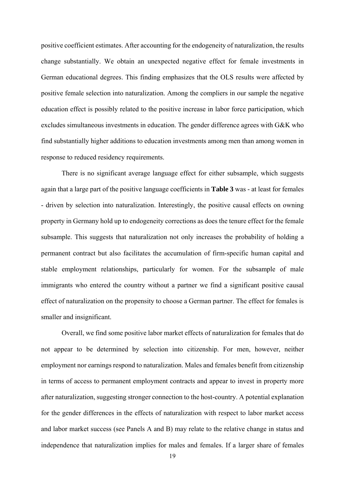positive coefficient estimates. After accounting for the endogeneity of naturalization, the results change substantially. We obtain an unexpected negative effect for female investments in German educational degrees. This finding emphasizes that the OLS results were affected by positive female selection into naturalization. Among the compliers in our sample the negative education effect is possibly related to the positive increase in labor force participation, which excludes simultaneous investments in education. The gender difference agrees with G&K who find substantially higher additions to education investments among men than among women in response to reduced residency requirements.

 There is no significant average language effect for either subsample, which suggests again that a large part of the positive language coefficients in **Table 3** was - at least for females - driven by selection into naturalization. Interestingly, the positive causal effects on owning property in Germany hold up to endogeneity corrections as does the tenure effect for the female subsample. This suggests that naturalization not only increases the probability of holding a permanent contract but also facilitates the accumulation of firm-specific human capital and stable employment relationships, particularly for women. For the subsample of male immigrants who entered the country without a partner we find a significant positive causal effect of naturalization on the propensity to choose a German partner. The effect for females is smaller and insignificant.

 Overall, we find some positive labor market effects of naturalization for females that do not appear to be determined by selection into citizenship. For men, however, neither employment nor earnings respond to naturalization. Males and females benefit from citizenship in terms of access to permanent employment contracts and appear to invest in property more after naturalization, suggesting stronger connection to the host-country. A potential explanation for the gender differences in the effects of naturalization with respect to labor market access and labor market success (see Panels A and B) may relate to the relative change in status and independence that naturalization implies for males and females. If a larger share of females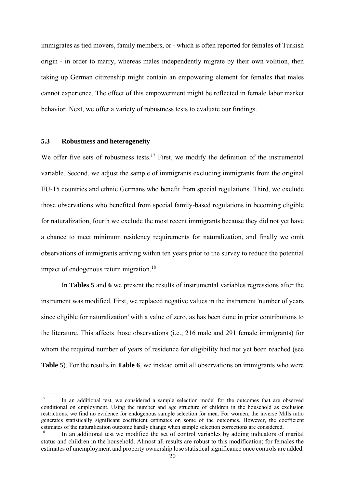immigrates as tied movers, family members, or - which is often reported for females of Turkish origin - in order to marry, whereas males independently migrate by their own volition, then taking up German citizenship might contain an empowering element for females that males cannot experience. The effect of this empowerment might be reflected in female labor market behavior. Next, we offer a variety of robustness tests to evaluate our findings.

#### **5.3 Robustness and heterogeneity**

We offer five sets of robustness tests.<sup>17</sup> First, we modify the definition of the instrumental variable. Second, we adjust the sample of immigrants excluding immigrants from the original EU-15 countries and ethnic Germans who benefit from special regulations. Third, we exclude those observations who benefited from special family-based regulations in becoming eligible for naturalization, fourth we exclude the most recent immigrants because they did not yet have a chance to meet minimum residency requirements for naturalization, and finally we omit observations of immigrants arriving within ten years prior to the survey to reduce the potential impact of endogenous return migration.<sup>18</sup>

 In **Tables 5** and **6** we present the results of instrumental variables regressions after the instrument was modified. First, we replaced negative values in the instrument 'number of years since eligible for naturalization' with a value of zero, as has been done in prior contributions to the literature. This affects those observations (i.e., 216 male and 291 female immigrants) for whom the required number of years of residence for eligibility had not yet been reached (see **Table 5**). For the results in **Table 6**, we instead omit all observations on immigrants who were

<sup>&</sup>lt;sup>17</sup> In an additional test, we considered a sample selection model for the outcomes that are observed conditional on employment. Using the number and age structure of children in the household as exclusion restrictions, we find no evidence for endogenous sample selection for men. For women, the inverse Mills ratio generates statistically significant coefficient estimates on some of the outcomes. However, the coefficient estimates of the naturalization outcome hardly change when sample selection corrections are considered.<br><sup>18</sup>

<sup>18</sup> In an additional test we modified the set of control variables by adding indicators of marital status and children in the household. Almost all results are robust to this modification; for females the estimates of unemployment and property ownership lose statistical significance once controls are added.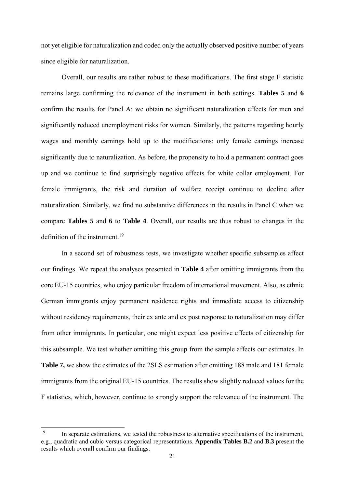not yet eligible for naturalization and coded only the actually observed positive number of years since eligible for naturalization.

 Overall, our results are rather robust to these modifications. The first stage F statistic remains large confirming the relevance of the instrument in both settings. **Tables 5** and **6** confirm the results for Panel A: we obtain no significant naturalization effects for men and significantly reduced unemployment risks for women. Similarly, the patterns regarding hourly wages and monthly earnings hold up to the modifications: only female earnings increase significantly due to naturalization. As before, the propensity to hold a permanent contract goes up and we continue to find surprisingly negative effects for white collar employment. For female immigrants, the risk and duration of welfare receipt continue to decline after naturalization. Similarly, we find no substantive differences in the results in Panel C when we compare **Tables 5** and **6** to **Table 4**. Overall, our results are thus robust to changes in the definition of the instrument.<sup>19</sup>

 In a second set of robustness tests, we investigate whether specific subsamples affect our findings. We repeat the analyses presented in **Table 4** after omitting immigrants from the core EU-15 countries, who enjoy particular freedom of international movement. Also, as ethnic German immigrants enjoy permanent residence rights and immediate access to citizenship without residency requirements, their ex ante and ex post response to naturalization may differ from other immigrants. In particular, one might expect less positive effects of citizenship for this subsample. We test whether omitting this group from the sample affects our estimates. In **Table 7,** we show the estimates of the 2SLS estimation after omitting 188 male and 181 female immigrants from the original EU-15 countries. The results show slightly reduced values for the F statistics, which, however, continue to strongly support the relevance of the instrument. The

<sup>&</sup>lt;sup>19</sup> In separate estimations, we tested the robustness to alternative specifications of the instrument, e.g., quadratic and cubic versus categorical representations. **Appendix Tables B.2** and **B.3** present the results which overall confirm our findings.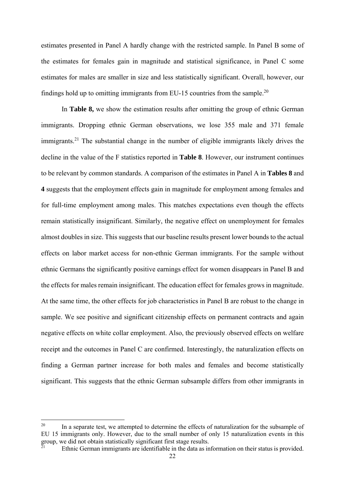estimates presented in Panel A hardly change with the restricted sample. In Panel B some of the estimates for females gain in magnitude and statistical significance, in Panel C some estimates for males are smaller in size and less statistically significant. Overall, however, our findings hold up to omitting immigrants from EU-15 countries from the sample.<sup>20</sup>

 In **Table 8,** we show the estimation results after omitting the group of ethnic German immigrants. Dropping ethnic German observations, we lose 355 male and 371 female immigrants.<sup>21</sup> The substantial change in the number of eligible immigrants likely drives the decline in the value of the F statistics reported in **Table 8**. However, our instrument continues to be relevant by common standards. A comparison of the estimates in Panel A in **Tables 8** and **4** suggests that the employment effects gain in magnitude for employment among females and for full-time employment among males. This matches expectations even though the effects remain statistically insignificant. Similarly, the negative effect on unemployment for females almost doubles in size. This suggests that our baseline results present lower bounds to the actual effects on labor market access for non-ethnic German immigrants. For the sample without ethnic Germans the significantly positive earnings effect for women disappears in Panel B and the effects for males remain insignificant. The education effect for females grows in magnitude. At the same time, the other effects for job characteristics in Panel B are robust to the change in sample. We see positive and significant citizenship effects on permanent contracts and again negative effects on white collar employment. Also, the previously observed effects on welfare receipt and the outcomes in Panel C are confirmed. Interestingly, the naturalization effects on finding a German partner increase for both males and females and become statistically significant. This suggests that the ethnic German subsample differs from other immigrants in

<sup>&</sup>lt;sup>20</sup> In a separate test, we attempted to determine the effects of naturalization for the subsample of EU 15 immigrants only. However, due to the small number of only 15 naturalization events in this group, we did not obtain statistically significant first stage results.

Ethnic German immigrants are identifiable in the data as information on their status is provided.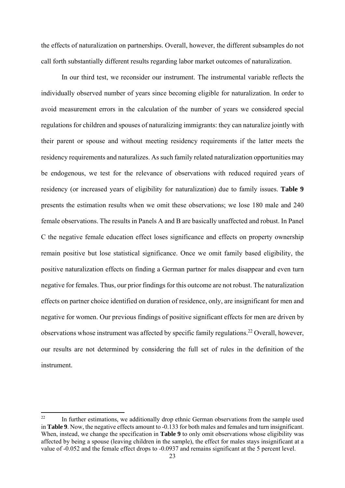the effects of naturalization on partnerships. Overall, however, the different subsamples do not call forth substantially different results regarding labor market outcomes of naturalization.

 In our third test, we reconsider our instrument. The instrumental variable reflects the individually observed number of years since becoming eligible for naturalization. In order to avoid measurement errors in the calculation of the number of years we considered special regulations for children and spouses of naturalizing immigrants: they can naturalize jointly with their parent or spouse and without meeting residency requirements if the latter meets the residency requirements and naturalizes. As such family related naturalization opportunities may be endogenous, we test for the relevance of observations with reduced required years of residency (or increased years of eligibility for naturalization) due to family issues. **Table 9** presents the estimation results when we omit these observations; we lose 180 male and 240 female observations. The results in Panels A and B are basically unaffected and robust. In Panel C the negative female education effect loses significance and effects on property ownership remain positive but lose statistical significance. Once we omit family based eligibility, the positive naturalization effects on finding a German partner for males disappear and even turn negative for females. Thus, our prior findings for this outcome are not robust. The naturalization effects on partner choice identified on duration of residence, only, are insignificant for men and negative for women. Our previous findings of positive significant effects for men are driven by observations whose instrument was affected by specific family regulations.22 Overall, however, our results are not determined by considering the full set of rules in the definition of the instrument.

<sup>&</sup>lt;sup>22</sup> In further estimations, we additionally drop ethnic German observations from the sample used in **Table 9**. Now, the negative effects amount to -0.133 for both males and females and turn insignificant. When, instead, we change the specification in **Table 9** to only omit observations whose eligibility was affected by being a spouse (leaving children in the sample), the effect for males stays insignificant at a value of -0.052 and the female effect drops to -0.0937 and remains significant at the 5 percent level.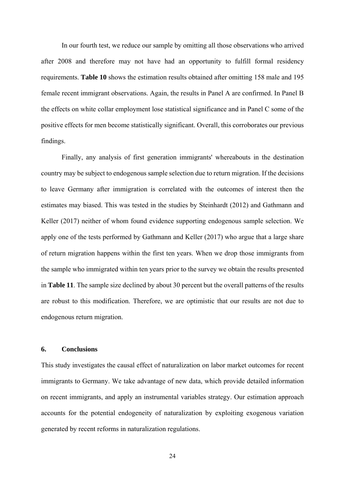In our fourth test, we reduce our sample by omitting all those observations who arrived after 2008 and therefore may not have had an opportunity to fulfill formal residency requirements. **Table 10** shows the estimation results obtained after omitting 158 male and 195 female recent immigrant observations. Again, the results in Panel A are confirmed. In Panel B the effects on white collar employment lose statistical significance and in Panel C some of the positive effects for men become statistically significant. Overall, this corroborates our previous findings.

 Finally, any analysis of first generation immigrants' whereabouts in the destination country may be subject to endogenous sample selection due to return migration. If the decisions to leave Germany after immigration is correlated with the outcomes of interest then the estimates may biased. This was tested in the studies by Steinhardt (2012) and Gathmann and Keller (2017) neither of whom found evidence supporting endogenous sample selection. We apply one of the tests performed by Gathmann and Keller (2017) who argue that a large share of return migration happens within the first ten years. When we drop those immigrants from the sample who immigrated within ten years prior to the survey we obtain the results presented in **Table 11**. The sample size declined by about 30 percent but the overall patterns of the results are robust to this modification. Therefore, we are optimistic that our results are not due to endogenous return migration.

## **6. Conclusions**

This study investigates the causal effect of naturalization on labor market outcomes for recent immigrants to Germany. We take advantage of new data, which provide detailed information on recent immigrants, and apply an instrumental variables strategy. Our estimation approach accounts for the potential endogeneity of naturalization by exploiting exogenous variation generated by recent reforms in naturalization regulations.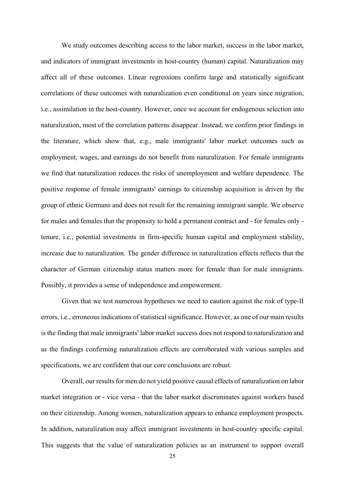We study outcomes describing access to the labor market, success in the labor market, and indicators of immigrant investments in host-country (human) capital. Naturalization may affect all of these outcomes. Linear regressions confirm large and statistically significant correlations of these outcomes with naturalization even conditional on years since migration, i.e., assimilation in the host-country. However, once we account for endogenous selection into naturalization, most of the correlation patterns disappear. Instead, we confirm prior findings in the literature, which show that, e.g., male immigrants' labor market outcomes such as employment, wages, and earnings do not benefit from naturalization. For female immigrants we find that naturalization reduces the risks of unemployment and welfare dependence. The positive response of female immigrants' earnings to citizenship acquisition is driven by the group of ethnic Germans and does not result for the remaining immigrant sample. We observe for males and females that the propensity to hold a permanent contract and - for females only tenure, i.e., potential investments in firm-specific human capital and employment stability, increase due to naturalization. The gender difference in naturalization effects reflects that the character of German citizenship status matters more for female than for male immigrants. Possibly, it provides a sense of independence and empowerment.

 Given that we test numerous hypotheses we need to caution against the risk of type-II errors, i.e., erroneous indications of statistical significance. However, as one of our main results is the finding that male immigrants' labor market success does not respond to naturalization and as the findings confirming naturalization effects are corroborated with various samples and specifications, we are confident that our core conclusions are robust.

 Overall, our results for men do not yield positive causal effects of naturalization on labor market integration or - vice versa - that the labor market discriminates against workers based on their citizenship. Among women, naturalization appears to enhance employment prospects. In addition, naturalization may affect immigrant investments in host-country specific capital. This suggests that the value of naturalization policies as an instrument to support overall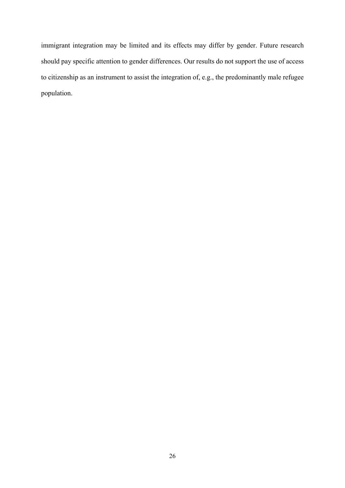immigrant integration may be limited and its effects may differ by gender. Future research should pay specific attention to gender differences. Our results do not support the use of access to citizenship as an instrument to assist the integration of, e.g., the predominantly male refugee population.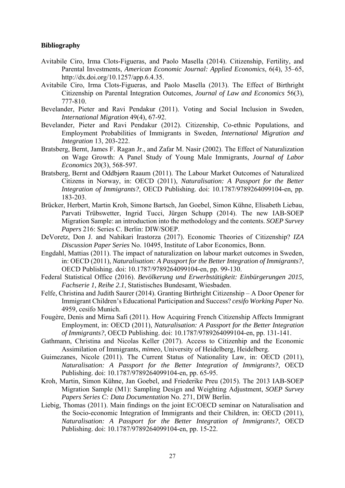## **Bibliography**

- Avitabile Ciro, Irma Clots-Figueras, and Paolo Masella (2014). Citizenship, Fertility, and Parental Investments, *American Economic Journal: Applied Economics*, 6(4), 35–65, http://dx.doi.org/10.1257/app.6.4.35.
- Avitabile Ciro, Irma Clots-Figueras, and Paolo Masella (2013). The Effect of Birthright Citizenship on Parental Integration Outcomes, *Journal of Law and Economics* 56(3), 777-810.
- Bevelander, Pieter and Ravi Pendakur (2011). Voting and Social Inclusion in Sweden, *International Migration* 49(4), 67-92.
- Bevelander, Pieter and Ravi Pendakur (2012). Citizenship, Co-ethnic Populations, and Employment Probabilities of Immigrants in Sweden, *International Migration and Integration* 13, 203-222.
- Bratsberg, Bernt, James F. Ragan Jr., and Zafar M. Nasir (2002). The Effect of Naturalization on Wage Growth: A Panel Study of Young Male Immigrants, *Journal of Labor Economics* 20(3), 568-597.
- Bratsberg, Bernt and Oddbjørn Raaum (2011). The Labour Market Outcomes of Naturalized Citizens in Norway, in: OECD (2011), *Naturalisation: A Passport for the Better Integration of Immigrants?*, OECD Publishing. doi: 10.1787/9789264099104-en, pp. 183-203.
- Brücker, Herbert, Martin Kroh, Simone Bartsch, Jan Goebel, Simon Kühne, Elisabeth Liebau, Parvati Trübswetter, Ingrid Tucci, Jürgen Schupp (2014). The new IAB-SOEP Migration Sample: an introduction into the methodology and the contents. *SOEP Survey Papers* 216: Series C. Berlin: DIW/SOEP.
- DeVoretz, Don J. and Nahikari Irastorza (2017). Economic Theories of Citizenship? *IZA Discussion Paper Series* No. 10495, Institute of Labor Economics, Bonn.
- Engdahl, Mattias (2011). The impact of naturalization on labour market outcomes in Sweden, in: OECD (2011), *Naturalisation: A Passport for the Better Integration of Immigrants?*, OECD Publishing. doi: 10.1787/9789264099104-en, pp. 99-130.
- Federal Statistical Office (2016). *Bevölkerung und Erwerbstätigkeit: Einbürgerungen 2015, Fachserie 1, Reihe 2.1*, Statistisches Bundesamt, Wiesbaden.
- Felfe, Christina and Judith Saurer (2014). Granting Birthright Citizenship A Door Opener for Immigrant Children's Educational Participation and Success? *cesifo Working Paper* No. 4959, cesifo Munich.
- Fougère, Denis and Mirna Safi (2011). How Acquiring French Citizenship Affects Immigrant Employment, in: OECD (2011), *Naturalisation: A Passport for the Better Integration of Immigrants?*, OECD Publishing. doi: 10.1787/9789264099104-en, pp. 131-141.
- Gathmann, Christina and Nicolas Keller (2017). Access to Citizenhip and the Economic Assimilation of Immigrants, *mimeo*, University of Heidelberg, Heidelberg.
- Guimezanes, Nicole (2011). The Current Status of Nationality Law, in: OECD (2011), *Naturalisation: A Passport for the Better Integration of Immigrants?*, OECD Publishing. doi: 10.1787/9789264099104-en, pp. 65-95.
- Kroh, Martin, Simon Kühne, Jan Goebel, and Friederike Preu (2015). The 2013 IAB-SOEP Migration Sample (M1): Sampling Design and Weighting Adjustment, *SOEP Survey Papers Series C: Data Documentation* No. 271, DIW Berlin.
- Liebig, Thomas (2011). Main findings on the joint EC/OECD seminar on Naturalisation and the Socio-economic Integration of Immigrants and their Children, in: OECD (2011), *Naturalisation: A Passport for the Better Integration of Immigrants?*, OECD Publishing. doi: 10.1787/9789264099104-en, pp. 15-22.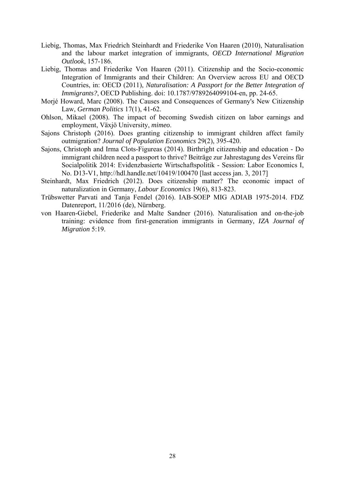- Liebig, Thomas, Max Friedrich Steinhardt and Friederike Von Haaren (2010), Naturalisation and the labour market integration of immigrants, *OECD International Migration Outlook*, 157-186.
- Liebig, Thomas and Friederike Von Haaren (2011). Citizenship and the Socio-economic Integration of Immigrants and their Children: An Overview across EU and OECD Countries, in: OECD (2011), *Naturalisation: A Passport for the Better Integration of Immigrants?*, OECD Publishing. doi: 10.1787/9789264099104-en, pp. 24-65.
- Morjé Howard, Marc (2008). The Causes and Consequences of Germany's New Citizenship Law, *German Politics* 17(1), 41-62.
- Ohlson, Mikael (2008). The impact of becoming Swedish citizen on labor earnings and employment, Växjö University, *mimeo*.
- Sajons Christoph (2016). Does granting citizenship to immigrant children affect family outmigration? *Journal of Population Economics* 29(2), 395-420.
- Sajons, Christoph and Irma Clots-Figureas (2014). Birthright citizenship and education Do immigrant children need a passport to thrive? Beiträge zur Jahrestagung des Vereins für Socialpolitik 2014: Evidenzbasierte Wirtschaftspolitik - Session: Labor Economics I, No. D13-V1, http://hdl.handle.net/10419/100470 [last access jan. 3, 2017]
- Steinhardt, Max Friedrich (2012). Does citizenship matter? The economic impact of naturalization in Germany, *Labour Economics* 19(6), 813-823.
- Trübswetter Parvati and Tanja Fendel (2016). IAB-SOEP MIG ADIAB 1975-2014. FDZ Datenreport, 11/2016 (de), Nürnberg.
- von Haaren-Giebel, Friederike and Malte Sandner (2016). Naturalisation and on-the-job training: evidence from first-generation immigrants in Germany, *IZA Journal of Migration* 5:19.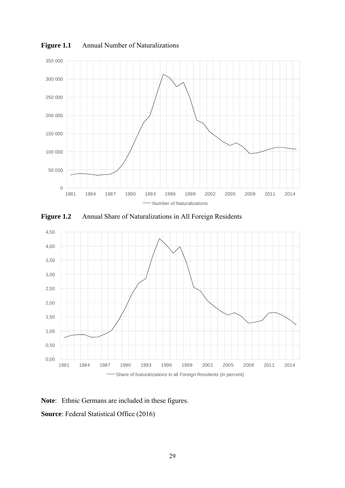

**Figure 1.1** Annual Number of Naturalizations

**Figure 1.2** Annual Share of Naturalizations in All Foreign Residents



**Note**: Ethnic Germans are included in these figures. **Source**: Federal Statistical Office (2016)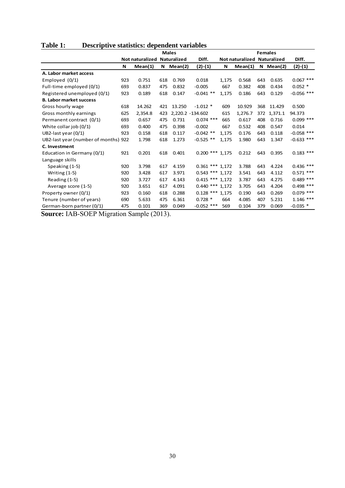| Table 1: | Descriptive statistics: dependent variables |  |  |
|----------|---------------------------------------------|--|--|
|          |                                             |  |  |

|                                                      | <b>Males</b> |                             |                                         | <b>Females</b> |                   |       |                             |     |             |                |
|------------------------------------------------------|--------------|-----------------------------|-----------------------------------------|----------------|-------------------|-------|-----------------------------|-----|-------------|----------------|
|                                                      |              | Not naturalized Naturalized |                                         |                | Diff.             |       | Not naturalized Naturalized |     |             | Diff.          |
|                                                      | N            | Mean(1)                     | N                                       | Mean(2)        | $(2)-(1)$         | N     | Mean(1)                     |     | $N$ Mean(2) | $(2)-(1)$      |
| A. Labor market access                               |              |                             |                                         |                |                   |       |                             |     |             |                |
| Employed $(0/1)$                                     | 923          | 0.751                       | 618                                     | 0.769          | 0.018             | 1,175 | 0.568                       | 643 | 0.635       | $0.067$ ***    |
| Full-time employed (0/1)                             | 693          | 0.837                       | 475                                     | 0.832          | $-0.005$          | 667   | 0.382                       | 408 | 0.434       | $0.052$ *      |
| Registered unemployed (0/1)                          | 923          | 0.189                       | 618                                     | 0.147          | $-0.041$ **       | 1,175 | 0.186                       | 643 | 0.129       | $-0.056$ ***   |
| <b>B. Labor market success</b>                       |              |                             |                                         |                |                   |       |                             |     |             |                |
| Gross hourly wage                                    | 618          | 14.262                      | 421                                     | 13.250         | $-1.012$ *        | 609   | 10.929                      | 368 | 11.429      | 0.500          |
| Gross monthly earnings                               | 625          | 2,354.8                     | 423                                     |                | 2,220.2 -134.602  | 615   | 1,276.7                     | 372 | 1,371.1     | 94.373         |
| Permanent contract (0/1)                             | 693          | 0.657                       | 475                                     | 0.731          | $0.074$ ***       | 665   | 0.617                       | 408 | 0.716       | $0.099$ ***    |
| White collar job $(0/1)$                             | 693          | 0.400                       | 475                                     | 0.398          | $-0.002$          | 667   | 0.532                       | 408 | 0.547       | 0.014          |
| UB2-last year $(0/1)$                                | 923          | 0.158                       | 618                                     | 0.117          | $-0.042$ **       | 1.175 | 0.176                       | 643 | 0.118       | $-0.058$ ***   |
| UB2-last year (number of months) 922                 |              | 1.798                       | 618                                     | 1.273          | $-0.525$ **       | 1,175 | 1.980                       | 643 | 1.347       | $-0.633$ ***   |
| C. Investment                                        |              |                             |                                         |                |                   |       |                             |     |             |                |
| Education in Germany (0/1)                           | 921          | 0.201                       | 618                                     | 0.401          | $0.200$ *** 1.175 |       | 0.212                       | 643 | 0.395       | $0.183$ ***    |
| Language skills                                      |              |                             |                                         |                |                   |       |                             |     |             |                |
| Speaking (1-5)                                       | 920          | 3.798                       | 617                                     | 4.159          | $0.361$ *** 1,172 |       | 3.788                       | 643 | 4.224       | $0.436$ ***    |
| Writing $(1-5)$                                      | 920          | 3.428                       | 617                                     | 3.971          | $0.543$ *** 1.172 |       | 3.541                       | 643 | 4.112       | $0.571$ ***    |
| Reading (1-5)                                        | 920          | 3.727                       | 617                                     | 4.143          | $0.415$ *** 1.172 |       | 3.787                       | 643 | 4.275       | $***$<br>0.489 |
| Average score (1-5)                                  | 920          | 3.651                       | 617                                     | 4.091          | $0.440$ *** 1,172 |       | 3.705                       | 643 | 4.204       | $0.498$ ***    |
| Property owner (0/1)                                 | 923          | 0.160                       | 618                                     | 0.288          | $0.128$ *** 1,175 |       | 0.190                       | 643 | 0.269       | $0.079$ ***    |
| Tenure (number of years)                             | 690          | 5.633                       | 475                                     | 6.361          | $0.728*$          | 664   | 4.085                       | 407 | 5.231       | $1.146$ ***    |
| German-born partner (0/1)<br>$\mathbf{v}$ in compact | 475          | 0.101                       | 369<br>$\sqrt{2}$ $\sqrt{2}$ $\sqrt{2}$ | 0.049          | $-0.052$<br>$***$ | 569   | 0.104                       | 379 | 0.069       | $-0.035$ *     |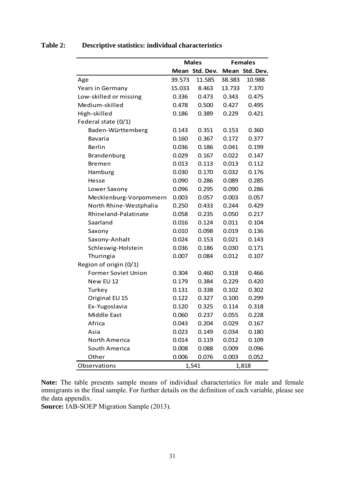|                            | <b>Males</b> |                |        | <b>Females</b> |
|----------------------------|--------------|----------------|--------|----------------|
|                            |              | Mean Std. Dev. | Mean   | Std. Dev.      |
| Age                        | 39.573       | 11.585         | 38.383 | 10.988         |
| Years in Germany           | 15.033       | 8.463          | 13.733 | 7.370          |
| Low-skilled or missing     | 0.336        | 0.473          | 0.343  | 0.475          |
| Medium-skilled             | 0.478        | 0.500          | 0.427  | 0.495          |
| High-skilled               | 0.186        | 0.389          | 0.229  | 0.421          |
| Federal state (0/1)        |              |                |        |                |
| Baden-Württemberg          | 0.143        | 0.351          | 0.153  | 0.360          |
| Bavaria                    | 0.160        | 0.367          | 0.172  | 0.377          |
| Berlin                     | 0.036        | 0.186          | 0.041  | 0.199          |
| Brandenburg                | 0.029        | 0.167          | 0.022  | 0.147          |
| <b>Bremen</b>              | 0.013        | 0.113          | 0.013  | 0.112          |
| Hamburg                    | 0.030        | 0.170          | 0.032  | 0.176          |
| Hesse                      | 0.090        | 0.286          | 0.089  | 0.285          |
| Lower Saxony               | 0.096        | 0.295          | 0.090  | 0.286          |
| Mecklenburg-Vorpommern     | 0.003        | 0.057          | 0.003  | 0.057          |
| North Rhine-Westphalia     | 0.250        | 0.433          | 0.244  | 0.429          |
| Rhineland-Palatinate       | 0.058        | 0.235          | 0.050  | 0.217          |
| Saarland                   | 0.016        | 0.124          | 0.011  | 0.104          |
| Saxony                     | 0.010        | 0.098          | 0.019  | 0.136          |
| Saxony-Anhalt              | 0.024        | 0.153          | 0.021  | 0.143          |
| Schleswig-Holstein         | 0.036        | 0.186          | 0.030  | 0.171          |
| Thuringia                  | 0.007        | 0.084          | 0.012  | 0.107          |
| Region of origin (0/1)     |              |                |        |                |
| <b>Former Soviet Union</b> | 0.304        | 0.460          | 0.318  | 0.466          |
| New EU 12                  | 0.179        | 0.384          | 0.229  | 0.420          |
| Turkey                     | 0.131        | 0.338          | 0.102  | 0.302          |
| Original EU 15             | 0.122        | 0.327          | 0.100  | 0.299          |
| Ex-Yugoslavia              | 0.120        | 0.325          | 0.114  | 0.318          |
| Middle East                | 0.060        | 0.237          | 0.055  | 0.228          |
| Africa                     | 0.043        | 0.204          | 0.029  | 0.167          |
| Asia                       | 0.023        | 0.149          | 0.034  | 0.180          |
| North America              | 0.014        | 0.119          | 0.012  | 0.109          |
| South America              | 0.008        | 0.088          | 0.009  | 0.096          |
| Other                      | 0.006        | 0.076          | 0.003  | 0.052          |
| Observations               |              | 1,541          |        | 1,818          |

# **Table 2: Descriptive statistics: individual characteristics**

**Note:** The table presents sample means of individual characteristics for male and female immigrants in the final sample. For further details on the definition of each variable, please see the data appendix.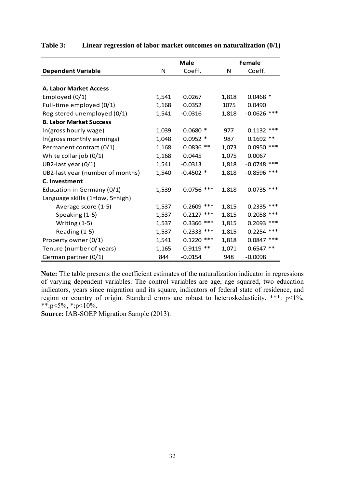|                                  |       | <b>Male</b>  |       | Female        |
|----------------------------------|-------|--------------|-------|---------------|
| <b>Dependent Variable</b>        | N     | Coeff.       | N     | Coeff.        |
|                                  |       |              |       |               |
| <b>A. Labor Market Access</b>    |       |              |       |               |
| Employed $(0/1)$                 | 1,541 | 0.0267       | 1,818 | $0.0468*$     |
| Full-time employed (0/1)         | 1,168 | 0.0352       | 1075  | 0.0490        |
| Registered unemployed (0/1)      | 1,541 | $-0.0316$    | 1,818 | $-0.0626$ *** |
| <b>B. Labor Market Success</b>   |       |              |       |               |
| In(gross hourly wage)            | 1,039 | $0.0680*$    | 977   | $0.1132$ ***  |
| In(gross monthly earnings)       | 1,048 | $0.0952*$    | 987   | $0.1692$ **   |
| Permanent contract (0/1)         | 1,168 | $0.0836$ **  | 1,073 | $0.0950$ ***  |
| White collar job (0/1)           | 1,168 | 0.0445       | 1,075 | 0.0067        |
| UB2-last year $(0/1)$            | 1,541 | $-0.0313$    | 1,818 | $-0.0748$ *** |
| UB2-last year (number of months) | 1,540 | $-0.4502$ *  | 1,818 | $-0.8596$ *** |
| <b>C. Investment</b>             |       |              |       |               |
| Education in Germany (0/1)       | 1,539 | $0.0756$ *** | 1,818 | $0.0735$ ***  |
| Language skills (1=low, 5=high)  |       |              |       |               |
| Average score (1-5)              | 1,537 | $0.2609$ *** | 1,815 | $0.2335$ ***  |
| Speaking (1-5)                   | 1,537 | $0.2127$ *** | 1,815 | $0.2058$ ***  |
| Writing $(1-5)$                  | 1,537 | $0.3366$ *** | 1,815 | $0.2693$ ***  |
| Reading (1-5)                    | 1,537 | $0.2333$ *** | 1,815 | $0.2254$ ***  |
| Property owner (0/1)             | 1,541 | $0.1220$ *** | 1,818 | $0.0847$ ***  |
| Tenure (number of years)         | 1,165 | $0.9119**$   | 1,071 | $0.6547**$    |
| German partner (0/1)             | 844   | $-0.0154$    | 948   | $-0.0098$     |

**Table 3: Linear regression of labor market outcomes on naturalization (0/1)** 

**Note:** The table presents the coefficient estimates of the naturalization indicator in regressions of varying dependent variables. The control variables are age, age squared, two education indicators, years since migration and its square, indicators of federal state of residence, and region or country of origin. Standard errors are robust to heteroskedasticity. \*\*\*: p<1%, \*\*:p<5%, \*:p<10%.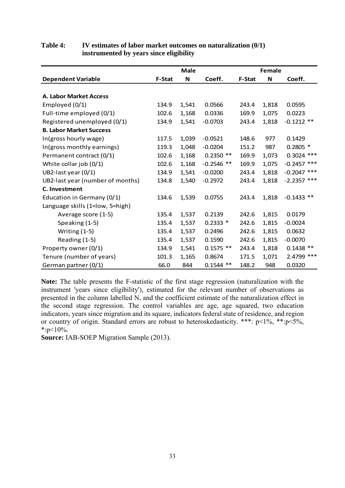|                                  |               | <b>Male</b> |              |               | Female |                    |
|----------------------------------|---------------|-------------|--------------|---------------|--------|--------------------|
| <b>Dependent Variable</b>        | <b>F-Stat</b> | N           | Coeff.       | <b>F-Stat</b> | N      | Coeff.             |
|                                  |               |             |              |               |        |                    |
| A. Labor Market Access           |               |             |              |               |        |                    |
| Employed (0/1)                   | 134.9         | 1,541       | 0.0566       | 243.4         | 1,818  | 0.0595             |
| Full-time employed (0/1)         | 102.6         | 1,168       | 0.0336       | 169.9         | 1,075  | 0.0223             |
| Registered unemployed (0/1)      | 134.9         | 1,541       | $-0.0703$    | 243.4         | 1,818  | $-0.1212**$        |
| <b>B. Labor Market Success</b>   |               |             |              |               |        |                    |
| In(gross hourly wage)            | 117.5         | 1,039       | $-0.0521$    | 148.6         | 977    | 0.1429             |
| In(gross monthly earnings)       | 119.3         | 1,048       | $-0.0204$    | 151.2         | 987    | $0.2805$ *         |
| Permanent contract (0/1)         | 102.6         | 1,168       | $0.2350$ **  | 169.9         | 1,073  | $0.3024$ ***       |
| White collar job (0/1)           | 102.6         | 1,168       | $-0.2546$ ** | 169.9         | 1,075  | ***<br>$-0.2457$   |
| UB2-last year $(0/1)$            | 134.9         | 1,541       | $-0.0200$    | 243.4         | 1,818  | $***$<br>$-0.2047$ |
| UB2-last year (number of months) | 134.8         | 1,540       | $-0.2972$    | 243.4         | 1,818  | $-2.2357$ ***      |
| <b>C. Investment</b>             |               |             |              |               |        |                    |
| Education in Germany (0/1)       | 134.6         | 1,539       | 0.0755       | 243.4         | 1,818  | $-0.1433$ **       |
| Language skills (1=low, 5=high)  |               |             |              |               |        |                    |
| Average score (1-5)              | 135.4         | 1,537       | 0.2139       | 242.6         | 1,815  | 0.0179             |
| Speaking (1-5)                   | 135.4         | 1,537       | $0.2333*$    | 242.6         | 1,815  | $-0.0024$          |
| Writing $(1-5)$                  | 135.4         | 1,537       | 0.2496       | 242.6         | 1,815  | 0.0632             |
| Reading (1-5)                    | 135.4         | 1,537       | 0.1590       | 242.6         | 1,815  | $-0.0070$          |
| Property owner (0/1)             | 134.9         | 1,541       | $0.1575$ **  | 243.4         | 1,818  | $0.1438**$         |
| Tenure (number of years)         | 101.3         | 1,165       | 0.8674       | 171.5         | 1,071  | 2.4799 ***         |
| German partner (0/1)             | 66.0          | 844         | $0.1544$ **  | 148.2         | 948    | 0.0320             |

## **Table 4: IV estimates of labor market outcomes on naturalization (0/1) instrumented by years since eligibility**

**Note:** The table presents the F-statistic of the first stage regression (naturalization with the instrument 'years since eligibility'), estimated for the relevant number of observations as presented in the column labelled N, and the coefficient estimate of the naturalization effect in the second stage regression. The control variables are age, age squared, two education indicators, years since migration and its square, indicators federal state of residence, and region or country of origin. Standard errors are robust to heteroskedasticity. \*\*\*: p<1%, \*\*:p<5%,  $*$ :p<10%.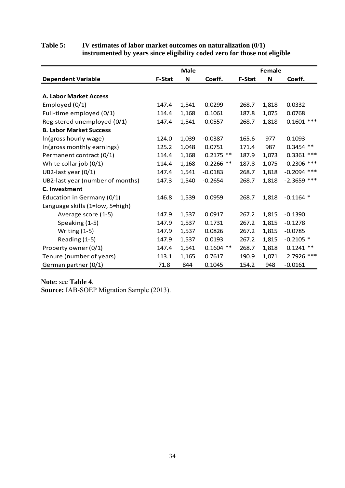|                                  |        | <b>Male</b> |              |        | <b>Female</b> |                  |
|----------------------------------|--------|-------------|--------------|--------|---------------|------------------|
| <b>Dependent Variable</b>        | F-Stat | N           | Coeff.       | F-Stat | N             | Coeff.           |
|                                  |        |             |              |        |               |                  |
| <b>A. Labor Market Access</b>    |        |             |              |        |               |                  |
| Employed (0/1)                   | 147.4  | 1,541       | 0.0299       | 268.7  | 1,818         | 0.0332           |
| Full-time employed (0/1)         | 114.4  | 1,168       | 0.1061       | 187.8  | 1,075         | 0.0768           |
| Registered unemployed (0/1)      | 147.4  | 1,541       | $-0.0557$    | 268.7  | 1,818         | $-0.1601$ ***    |
| <b>B. Labor Market Success</b>   |        |             |              |        |               |                  |
| In(gross hourly wage)            | 124.0  | 1,039       | $-0.0387$    | 165.6  | 977           | 0.1093           |
| In(gross monthly earnings)       | 125.2  | 1,048       | 0.0751       | 171.4  | 987           | $0.3454$ **      |
| Permanent contract (0/1)         | 114.4  | 1,168       | $0.2175$ **  | 187.9  | 1,073         | $***$<br>0.3361  |
| White collar job $(0/1)$         | 114.4  | 1,168       | $-0.2266$ ** | 187.8  | 1,075         | $-0.2306$ ***    |
| UB2-last year $(0/1)$            | 147.4  | 1,541       | $-0.0183$    | 268.7  | 1,818         | ***<br>$-0.2094$ |
| UB2-last year (number of months) | 147.3  | 1,540       | $-0.2654$    | 268.7  | 1,818         | $-2.3659$ ***    |
| <b>C. Investment</b>             |        |             |              |        |               |                  |
| Education in Germany (0/1)       | 146.8  | 1,539       | 0.0959       | 268.7  | 1,818         | $-0.1164$ *      |
| Language skills (1=low, 5=high)  |        |             |              |        |               |                  |
| Average score (1-5)              | 147.9  | 1,537       | 0.0917       | 267.2  | 1,815         | $-0.1390$        |
| Speaking (1-5)                   | 147.9  | 1,537       | 0.1731       | 267.2  | 1,815         | $-0.1278$        |
| Writing $(1-5)$                  | 147.9  | 1,537       | 0.0826       | 267.2  | 1,815         | $-0.0785$        |
| Reading (1-5)                    | 147.9  | 1,537       | 0.0193       | 267.2  | 1,815         | $-0.2105$ *      |
| Property owner (0/1)             | 147.4  | 1,541       | $0.1604$ **  | 268.7  | 1,818         | $0.1241$ **      |
| Tenure (number of years)         | 113.1  | 1,165       | 0.7617       | 190.9  | 1,071         | 2.7926 ***       |
| German partner (0/1)             | 71.8   | 844         | 0.1045       | 154.2  | 948           | $-0.0161$        |

# **Table 5: IV estimates of labor market outcomes on naturalization (0/1) instrumented by years since eligibility coded zero for those not eligible**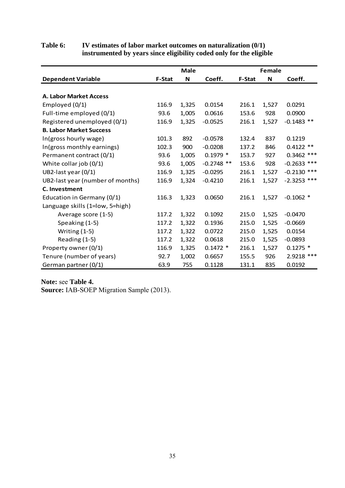|                                  |               | <b>Male</b>               |              |               | Female |                    |
|----------------------------------|---------------|---------------------------|--------------|---------------|--------|--------------------|
| <b>Dependent Variable</b>        | <b>F-Stat</b> | $\boldsymbol{\mathsf{N}}$ | Coeff.       | <b>F-Stat</b> | N      | Coeff.             |
|                                  |               |                           |              |               |        |                    |
| <b>A. Labor Market Access</b>    |               |                           |              |               |        |                    |
| Employed (0/1)                   | 116.9         | 1,325                     | 0.0154       | 216.1         | 1,527  | 0.0291             |
| Full-time employed (0/1)         | 93.6          | 1,005                     | 0.0616       | 153.6         | 928    | 0.0900             |
| Registered unemployed (0/1)      | 116.9         | 1,325                     | $-0.0525$    | 216.1         | 1,527  | $-0.1483$ **       |
| <b>B. Labor Market Success</b>   |               |                           |              |               |        |                    |
| In(gross hourly wage)            | 101.3         | 892                       | $-0.0578$    | 132.4         | 837    | 0.1219             |
| In(gross monthly earnings)       | 102.3         | 900                       | $-0.0208$    | 137.2         | 846    | $0.4122**$         |
| Permanent contract (0/1)         | 93.6          | 1,005                     | $0.1979*$    | 153.7         | 927    | ***<br>0.3462      |
| White collar job (0/1)           | 93.6          | 1,005                     | $-0.2748$ ** | 153.6         | 928    | $***$<br>$-0.2633$ |
| UB2-last year $(0/1)$            | 116.9         | 1,325                     | $-0.0295$    | 216.1         | 1,527  | $***$<br>$-0.2130$ |
| UB2-last year (number of months) | 116.9         | 1,324                     | $-0.4210$    | 216.1         | 1,527  | $-2.3253$ ***      |
| C. Investment                    |               |                           |              |               |        |                    |
| Education in Germany (0/1)       | 116.3         | 1,323                     | 0.0650       | 216.1         | 1,527  | $-0.1062$ *        |
| Language skills (1=low, 5=high)  |               |                           |              |               |        |                    |
| Average score (1-5)              | 117.2         | 1,322                     | 0.1092       | 215.0         | 1,525  | $-0.0470$          |
| Speaking (1-5)                   | 117.2         | 1,322                     | 0.1936       | 215.0         | 1,525  | $-0.0669$          |
| Writing (1-5)                    | 117.2         | 1,322                     | 0.0722       | 215.0         | 1,525  | 0.0154             |
| Reading (1-5)                    | 117.2         | 1,322                     | 0.0618       | 215.0         | 1,525  | $-0.0893$          |
| Property owner (0/1)             | 116.9         | 1,325                     | $0.1472 *$   | 216.1         | 1,527  | $0.1275$ *         |
| Tenure (number of years)         | 92.7          | 1,002                     | 0.6657       | 155.5         | 926    | 2.9218 ***         |
| German partner (0/1)             | 63.9          | 755                       | 0.1128       | 131.1         | 835    | 0.0192             |

# **Table 6: IV estimates of labor market outcomes on naturalization (0/1) instrumented by years since eligibility coded only for the eligible**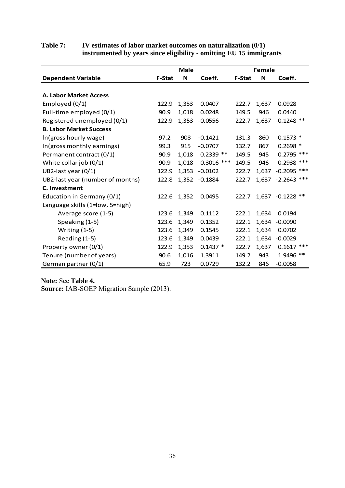|                                  |               | <b>Male</b> |                  |               | <b>Female</b> |                  |
|----------------------------------|---------------|-------------|------------------|---------------|---------------|------------------|
| <b>Dependent Variable</b>        | <b>F-Stat</b> | N           | Coeff.           | <b>F-Stat</b> | N             | Coeff.           |
|                                  |               |             |                  |               |               |                  |
| <b>A. Labor Market Access</b>    |               |             |                  |               |               |                  |
| Employed $(0/1)$                 | 122.9         | 1,353       | 0.0407           | 222.7         | 1.637         | 0.0928           |
| Full-time employed (0/1)         | 90.9          | 1,018       | 0.0248           | 149.5         | 946           | 0.0440           |
| Registered unemployed (0/1)      | 122.9         | 1,353       | $-0.0556$        | 222.7         | 1,637         | $-0.1248$ **     |
| <b>B. Labor Market Success</b>   |               |             |                  |               |               |                  |
| In(gross hourly wage)            | 97.2          | 908         | $-0.1421$        | 131.3         | 860           | $0.1573*$        |
| In(gross monthly earnings)       | 99.3          | 915         | $-0.0707$        | 132.7         | 867           | $0.2698*$        |
| Permanent contract (0/1)         | 90.9          | 1,018       | $0.2339$ **      | 149.5         | 945           | $0.2795$ ***     |
| White collar job $(0/1)$         | 90.9          | 1,018       | $-0.3016$<br>*** | 149.5         | 946           | $-0.2938$ ***    |
| UB2-last year (0/1)              | 122.9         | 1,353       | $-0.0102$        | 222.7         | 1,637         | ***<br>$-0.2095$ |
| UB2-last year (number of months) | 122.8         | 1,352       | $-0.1884$        | 222.7         | 1,637         | $-2.2643$ ***    |
| <b>C. Investment</b>             |               |             |                  |               |               |                  |
| Education in Germany (0/1)       | 122.6         | 1,352       | 0.0495           | 222.7         |               | 1,637 -0.1228 ** |
| Language skills (1=low, 5=high)  |               |             |                  |               |               |                  |
| Average score (1-5)              | 123.6         | 1,349       | 0.1112           | 222.1         | 1,634         | 0.0194           |
| Speaking (1-5)                   | 123.6         | 1,349       | 0.1352           | 222.1         | 1,634         | $-0.0090$        |
| Writing $(1-5)$                  | 123.6         | 1,349       | 0.1545           | 222.1         | 1,634         | 0.0702           |
| Reading (1-5)                    | 123.6         | 1,349       | 0.0439           | 222.1         | 1,634         | $-0.0029$        |
| Property owner (0/1)             | 122.9         | 1,353       | $0.1437*$        | 222.7         | 1,637         | $0.1617$ ***     |
| Tenure (number of years)         | 90.6          | 1,016       | 1.3911           | 149.2         | 943           | 1.9496 **        |
| German partner (0/1)             | 65.9          | 723         | 0.0729           | 132.2         | 846           | $-0.0058$        |

# **Table 7: IV estimates of labor market outcomes on naturalization (0/1) instrumented by years since eligibility - omitting EU 15 immigrants**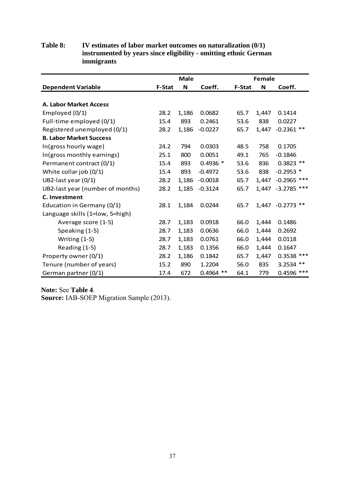|                                  |               | <b>Male</b> |             | Female        |       |                   |  |
|----------------------------------|---------------|-------------|-------------|---------------|-------|-------------------|--|
| <b>Dependent Variable</b>        | <b>F-Stat</b> | N           | Coeff.      | <b>F-Stat</b> | N     | Coeff.            |  |
|                                  |               |             |             |               |       |                   |  |
| <b>A. Labor Market Access</b>    |               |             |             |               |       |                   |  |
| Employed $(0/1)$                 | 28.2          | 1,186       | 0.0682      | 65.7          | 1,447 | 0.1414            |  |
| Full-time employed (0/1)         | 15.4          | 893         | 0.2461      | 53.6          | 838   | 0.0227            |  |
| Registered unemployed (0/1)      | 28.2          | 1,186       | $-0.0227$   | 65.7          | 1,447 | $-0.2361$ **      |  |
| <b>B. Labor Market Success</b>   |               |             |             |               |       |                   |  |
| In(gross hourly wage)            | 24.2          | 794         | 0.0303      | 48.5          | 758   | 0.1705            |  |
| In(gross monthly earnings)       | 25.1          | 800         | 0.0051      | 49.1          | 765   | $-0.1846$         |  |
| Permanent contract (0/1)         | 15.4          | 893         | $0.4936*$   | 53.6          | 836   | $0.3823$ **       |  |
| White collar job $(0/1)$         | 15.4          | 893         | $-0.4972$   | 53.6          | 838   | $-0.2953$ *       |  |
| UB2-last year $(0/1)$            | 28.2          | 1,186       | $-0.0018$   | 65.7          | 1,447 | ***<br>$-0.2965$  |  |
| UB2-last year (number of months) | 28.2          | 1,185       | $-0.3124$   | 65.7          |       | 1,447 -3.2785 *** |  |
| C. Investment                    |               |             |             |               |       |                   |  |
| Education in Germany (0/1)       | 28.1          | 1,184       | 0.0244      | 65.7          | 1,447 | $-0.2773$ **      |  |
| Language skills (1=low, 5=high)  |               |             |             |               |       |                   |  |
| Average score (1-5)              | 28.7          | 1,183       | 0.0918      | 66.0          | 1,444 | 0.1486            |  |
| Speaking (1-5)                   | 28.7          | 1,183       | 0.0636      | 66.0          | 1,444 | 0.2692            |  |
| Writing $(1-5)$                  | 28.7          | 1,183       | 0.0761      | 66.0          | 1,444 | 0.0118            |  |
| Reading (1-5)                    | 28.7          | 1,183       | 0.1356      | 66.0          | 1,444 | 0.1647            |  |
| Property owner (0/1)             | 28.2          | 1,186       | 0.1842      | 65.7          | 1,447 | 0.3538 ***        |  |
| Tenure (number of years)         | 15.2          | 890         | 1.2204      | 56.0          | 835   | 3.2534<br>**      |  |
| German partner (0/1)             | 17.4          | 672         | $0.4964$ ** | 64.1          | 779   | ***<br>0.4596     |  |

## **Table 8: IV estimates of labor market outcomes on naturalization (0/1) instrumented by years since eligibility - omitting ethnic German immigrants**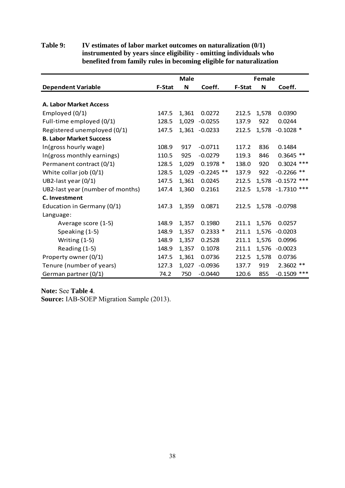|                                  |               | <b>Male</b> |              |               | Female |                    |
|----------------------------------|---------------|-------------|--------------|---------------|--------|--------------------|
| <b>Dependent Variable</b>        | <b>F-Stat</b> | N           | Coeff.       | <b>F-Stat</b> | N      | Coeff.             |
|                                  |               |             |              |               |        |                    |
| <b>A. Labor Market Access</b>    |               |             |              |               |        |                    |
| Employed $(0/1)$                 | 147.5         | 1,361       | 0.0272       | 212.5         | 1,578  | 0.0390             |
| Full-time employed (0/1)         | 128.5         | 1,029       | $-0.0255$    | 137.9         | 922    | 0.0244             |
| Registered unemployed (0/1)      | 147.5         | 1,361       | $-0.0233$    | 212.5         | 1,578  | $-0.1028$ *        |
| <b>B. Labor Market Success</b>   |               |             |              |               |        |                    |
| In(gross hourly wage)            | 108.9         | 917         | $-0.0711$    | 117.2         | 836    | 0.1484             |
| In(gross monthly earnings)       | 110.5         | 925         | $-0.0279$    | 119.3         | 846    | $0.3645$ **        |
| Permanent contract (0/1)         | 128.5         | 1,029       | $0.1978*$    | 138.0         | 920    | $0.3024$ ***       |
| White collar job $(0/1)$         | 128.5         | 1,029       | $-0.2245$ ** | 137.9         | 922    | $-0.2266$ **       |
| UB2-last year $(0/1)$            | 147.5         | 1,361       | 0.0245       | 212.5         | 1,578  | ***<br>$-0.1572$   |
| UB2-last year (number of months) | 147.4         | 1,360       | 0.2161       | 212.5         | 1,578  | $-1.7310$ ***      |
| <b>C. Investment</b>             |               |             |              |               |        |                    |
| Education in Germany (0/1)       | 147.3         | 1,359       | 0.0871       | 212.5         |        | 1,578 -0.0798      |
| Language:                        |               |             |              |               |        |                    |
| Average score (1-5)              | 148.9         | 1,357       | 0.1980       | 211.1         | 1,576  | 0.0257             |
| Speaking (1-5)                   | 148.9         | 1,357       | $0.2333*$    | 211.1         | 1,576  | $-0.0203$          |
| Writing $(1-5)$                  | 148.9         | 1,357       | 0.2528       | 211.1         | 1,576  | 0.0996             |
| Reading (1-5)                    | 148.9         | 1,357       | 0.1078       | 211.1         | 1,576  | $-0.0023$          |
| Property owner (0/1)             | 147.5         | 1,361       | 0.0736       | 212.5         | 1,578  | 0.0736             |
| Tenure (number of years)         | 127.3         | 1,027       | $-0.0936$    | 137.7         | 919    | $2.3602$ **        |
| German partner (0/1)             | 74.2          | 750         | $-0.0440$    | 120.6         | 855    | $***$<br>$-0.1509$ |

**Table 9: IV estimates of labor market outcomes on naturalization (0/1) instrumented by years since eligibility - omitting individuals who benefited from family rules in becoming eligible for naturalization**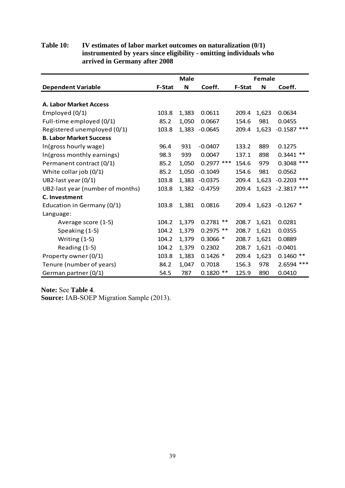|                                  | <b>Male</b>   |       |              | <b>Female</b> |       |                   |  |
|----------------------------------|---------------|-------|--------------|---------------|-------|-------------------|--|
| <b>Dependent Variable</b>        | <b>F-Stat</b> | N     | Coeff.       | <b>F-Stat</b> | N     | Coeff.            |  |
|                                  |               |       |              |               |       |                   |  |
| <b>A. Labor Market Access</b>    |               |       |              |               |       |                   |  |
| Employed $(0/1)$                 | 103.8         | 1,383 | 0.0611       | 209.4         | 1,623 | 0.0634            |  |
| Full-time employed (0/1)         | 85.2          | 1,050 | 0.0667       | 154.6         | 981   | 0.0455            |  |
| Registered unemployed (0/1)      | 103.8         | 1,383 | $-0.0645$    | 209.4         | 1,623 | $-0.1587$ ***     |  |
| <b>B. Labor Market Success</b>   |               |       |              |               |       |                   |  |
| In(gross hourly wage)            | 96.4          | 931   | $-0.0407$    | 133.2         | 889   | 0.1275            |  |
| In(gross monthly earnings)       | 98.3          | 939   | 0.0047       | 137.1         | 898   | $0.3441$ **       |  |
| Permanent contract (0/1)         | 85.2          | 1,050 | $0.2977$ *** | 154.6         | 979   | $0.3048$ ***      |  |
| White collar job (0/1)           | 85.2          | 1,050 | $-0.1049$    | 154.6         | 981   | 0.0562            |  |
| UB2-last year $(0/1)$            | 103.8         | 1,383 | $-0.0375$    | 209.4         | 1,623 | $-0.2203$ ***     |  |
| UB2-last year (number of months) | 103.8         | 1,382 | $-0.4759$    | 209.4         | 1,623 | $-2.3817$ ***     |  |
| <b>C. Investment</b>             |               |       |              |               |       |                   |  |
| Education in Germany (0/1)       | 103.8         | 1,381 | 0.0816       | 209.4         |       | $1,623 -0.1267$ * |  |
| Language:                        |               |       |              |               |       |                   |  |
| Average score (1-5)              | 104.2         | 1,379 | $0.2781$ **  | 208.7         | 1,621 | 0.0281            |  |
| Speaking (1-5)                   | 104.2         | 1,379 | $0.2975$ **  | 208.7         | 1,621 | 0.0355            |  |
| Writing $(1-5)$                  | 104.2         | 1,379 | $0.3066*$    | 208.7         | 1,621 | 0.0889            |  |
| Reading (1-5)                    | 104.2         | 1,379 | 0.2302       | 208.7         | 1,621 | $-0.0401$         |  |
| Property owner (0/1)             | 103.8         | 1,383 | $0.1426*$    | 209.4         | 1,623 | $0.1460**$        |  |
| Tenure (number of years)         | 84.2          | 1,047 | 0.7018       | 156.3         | 978   | 2.6594 ***        |  |
| German partner (0/1)             | 54.5          | 787   | $0.1820**$   | 125.9         | 890   | 0.0410            |  |

# **Table 10: IV estimates of labor market outcomes on naturalization (0/1) instrumented by years since eligibility - omitting individuals who arrived in Germany after 2008**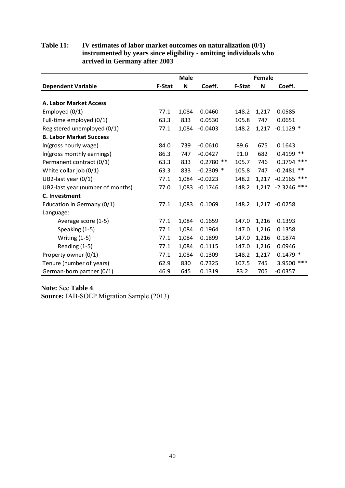|                                  | <b>Male</b>   |       |                 | Female |       |                    |  |
|----------------------------------|---------------|-------|-----------------|--------|-------|--------------------|--|
| <b>Dependent Variable</b>        | <b>F-Stat</b> | N     | Coeff.          | F-Stat | N     | Coeff.             |  |
|                                  |               |       |                 |        |       |                    |  |
| <b>A. Labor Market Access</b>    |               |       |                 |        |       |                    |  |
| Employed (0/1)                   | 77.1          | 1,084 | 0.0460          | 148.2  | 1,217 | 0.0585             |  |
| Full-time employed (0/1)         | 63.3          | 833   | 0.0530          | 105.8  | 747   | 0.0651             |  |
| Registered unemployed (0/1)      | 77.1          | 1,084 | $-0.0403$       | 148.2  | 1,217 | $-0.1129$ *        |  |
| <b>B. Labor Market Success</b>   |               |       |                 |        |       |                    |  |
| In(gross hourly wage)            | 84.0          | 739   | $-0.0610$       | 89.6   | 675   | 0.1643             |  |
| In(gross monthly earnings)       | 86.3          | 747   | $-0.0427$       | 91.0   | 682   | $0.4199$ **        |  |
| Permanent contract (0/1)         | 63.3          | 833   | 0.2780<br>$***$ | 105.7  | 746   | $0.3794$ ***       |  |
| White collar job (0/1)           | 63.3          | 833   | $-0.2309$ *     | 105.8  | 747   | $***$<br>$-0.2481$ |  |
| UB2-last year $(0/1)$            | 77.1          | 1,084 | $-0.0223$       | 148.2  | 1,217 | ***<br>$-0.2165$   |  |
| UB2-last year (number of months) | 77.0          | 1,083 | $-0.1746$       | 148.2  | 1,217 | $-2.3246$ ***      |  |
| <b>C. Investment</b>             |               |       |                 |        |       |                    |  |
| Education in Germany (0/1)       | 77.1          | 1,083 | 0.1069          | 148.2  | 1,217 | $-0.0258$          |  |
| Language:                        |               |       |                 |        |       |                    |  |
| Average score (1-5)              | 77.1          | 1,084 | 0.1659          | 147.0  | 1,216 | 0.1393             |  |
| Speaking (1-5)                   | 77.1          | 1,084 | 0.1964          | 147.0  | 1,216 | 0.1358             |  |
| Writing (1-5)                    | 77.1          | 1,084 | 0.1899          | 147.0  | 1,216 | 0.1874             |  |
| Reading (1-5)                    | 77.1          | 1,084 | 0.1115          | 147.0  | 1,216 | 0.0946             |  |
| Property owner (0/1)             | 77.1          | 1,084 | 0.1309          | 148.2  | 1,217 | $0.1479*$          |  |
| Tenure (number of years)         | 62.9          | 830   | 0.7325          | 107.5  | 745   | $***$<br>3.9500    |  |
| German-born partner (0/1)        | 46.9          | 645   | 0.1319          | 83.2   | 705   | $-0.0357$          |  |

# **Table 11: IV estimates of labor market outcomes on naturalization (0/1) instrumented by years since eligibility - omitting individuals who arrived in Germany after 2003**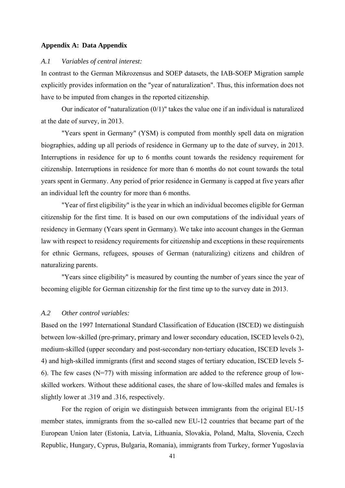#### **Appendix A: Data Appendix**

#### *A.1 Variables of central interest:*

In contrast to the German Mikrozensus and SOEP datasets, the IAB-SOEP Migration sample explicitly provides information on the "year of naturalization". Thus, this information does not have to be imputed from changes in the reported citizenship.

Our indicator of "naturalization  $(0/1)$ " takes the value one if an individual is naturalized at the date of survey, in 2013.

"Years spent in Germany" (YSM) is computed from monthly spell data on migration biographies, adding up all periods of residence in Germany up to the date of survey, in 2013. Interruptions in residence for up to 6 months count towards the residency requirement for citizenship. Interruptions in residence for more than 6 months do not count towards the total years spent in Germany. Any period of prior residence in Germany is capped at five years after an individual left the country for more than 6 months.

"Year of first eligibility" is the year in which an individual becomes eligible for German citizenship for the first time. It is based on our own computations of the individual years of residency in Germany (Years spent in Germany). We take into account changes in the German law with respect to residency requirements for citizenship and exceptions in these requirements for ethnic Germans, refugees, spouses of German (naturalizing) citizens and children of naturalizing parents.

"Years since eligibility" is measured by counting the number of years since the year of becoming eligible for German citizenship for the first time up to the survey date in 2013.

#### *A.2 Other control variables:*

Based on the 1997 International Standard Classification of Education (ISCED) we distinguish between low-skilled (pre-primary, primary and lower secondary education, ISCED levels 0-2), medium-skilled (upper secondary and post-secondary non-tertiary education, ISCED levels 3- 4) and high-skilled immigrants (first and second stages of tertiary education, ISCED levels 5- 6). The few cases  $(N=77)$  with missing information are added to the reference group of lowskilled workers. Without these additional cases, the share of low-skilled males and females is slightly lower at .319 and .316, respectively.

For the region of origin we distinguish between immigrants from the original EU-15 member states, immigrants from the so-called new EU-12 countries that became part of the European Union later (Estonia, Latvia, Lithuania, Slovakia, Poland, Malta, Slovenia, Czech Republic, Hungary, Cyprus, Bulgaria, Romania), immigrants from Turkey, former Yugoslavia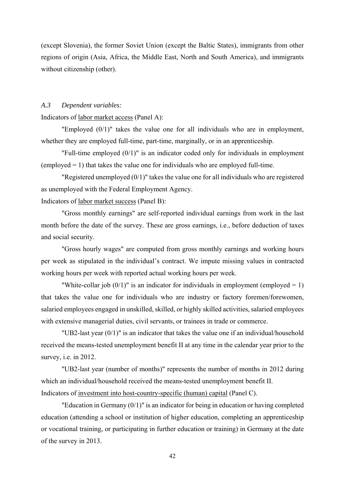(except Slovenia), the former Soviet Union (except the Baltic States), immigrants from other regions of origin (Asia, Africa, the Middle East, North and South America), and immigrants without citizenship (other).

## *A.3 Dependent variables:*

Indicators of labor market access (Panel A):

 "Employed (0/1)" takes the value one for all individuals who are in employment, whether they are employed full-time, part-time, marginally, or in an apprenticeship.

"Full-time employed (0/1)" is an indicator coded only for individuals in employment  $(emploved = 1)$  that takes the value one for individuals who are employed full-time.

"Registered unemployed (0/1)" takes the value one for all individuals who are registered as unemployed with the Federal Employment Agency.

Indicators of labor market success (Panel B):

 "Gross monthly earnings" are self-reported individual earnings from work in the last month before the date of the survey. These are gross earnings, i.e., before deduction of taxes and social security.

"Gross hourly wages" are computed from gross monthly earnings and working hours per week as stipulated in the individual's contract. We impute missing values in contracted working hours per week with reported actual working hours per week.

"White-collar job  $(0/1)$ " is an indicator for individuals in employment (employed = 1) that takes the value one for individuals who are industry or factory foremen/forewomen, salaried employees engaged in unskilled, skilled, or highly skilled activities, salaried employees with extensive managerial duties, civil servants, or trainees in trade or commerce.

"UB2-last year (0/1)" is an indicator that takes the value one if an individual/household received the means-tested unemployment benefit II at any time in the calendar year prior to the survey, i.e. in 2012.

 "UB2-last year (number of months)" represents the number of months in 2012 during which an individual/household received the means-tested unemployment benefit II. Indicators of investment into host-country-specific (human) capital (Panel C).

 "Education in Germany (0/1)" is an indicator for being in education or having completed education (attending a school or institution of higher education, completing an apprenticeship or vocational training, or participating in further education or training) in Germany at the date of the survey in 2013.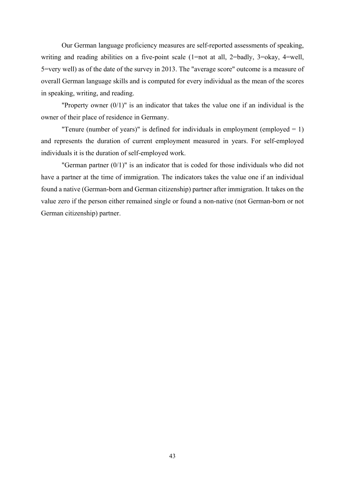Our German language proficiency measures are self-reported assessments of speaking, writing and reading abilities on a five-point scale (1=not at all, 2=badly, 3=okay, 4=well, 5=very well) as of the date of the survey in 2013. The "average score" outcome is a measure of overall German language skills and is computed for every individual as the mean of the scores in speaking, writing, and reading.

"Property owner (0/1)" is an indicator that takes the value one if an individual is the owner of their place of residence in Germany.

"Tenure (number of years)" is defined for individuals in employment (employed  $= 1$ ) and represents the duration of current employment measured in years. For self-employed individuals it is the duration of self-employed work.

"German partner (0/1)" is an indicator that is coded for those individuals who did not have a partner at the time of immigration. The indicators takes the value one if an individual found a native (German-born and German citizenship) partner after immigration. It takes on the value zero if the person either remained single or found a non-native (not German-born or not German citizenship) partner.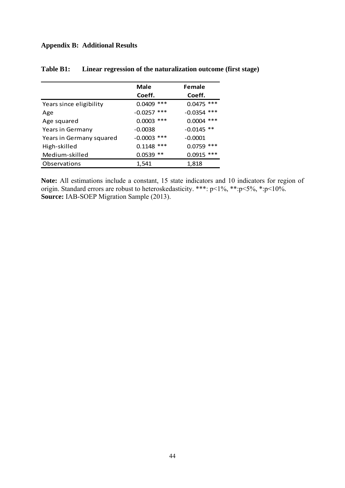# **Appendix B: Additional Results**

|                          | <b>Male</b>      | Female        |
|--------------------------|------------------|---------------|
|                          | Coeff.           | Coeff.        |
| Years since eligibility  | ***<br>0.0409    | $0.0475$ ***  |
| Age                      | ***<br>$-0.0257$ | $-0.0354$ *** |
| Age squared              | ***<br>0.0003    | ***<br>0.0004 |
| Years in Germany         | $-0.0038$        | $-0.0145$ **  |
| Years in Germany squared | ***<br>$-0.0003$ | $-0.0001$     |
| High-skilled             | $0.1148$ ***     | ***<br>0.0759 |
| Medium-skilled           | $***$<br>0.0539  | ***<br>0.0915 |
| Observations             | 1,541            | 1,818         |

## **Table B1: Linear regression of the naturalization outcome (first stage)**

**Note:** All estimations include a constant, 15 state indicators and 10 indicators for region of origin. Standard errors are robust to heteroskedasticity. \*\*\*: p<1%, \*\*:p<5%, \*:p<10%. **Source:** IAB-SOEP Migration Sample (2013).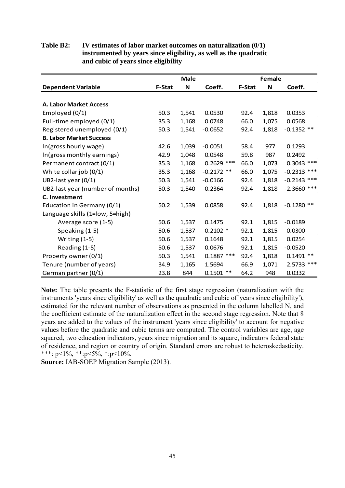|                                  | <b>Male</b>   |                           |              | Female        |             |                    |  |
|----------------------------------|---------------|---------------------------|--------------|---------------|-------------|--------------------|--|
| <b>Dependent Variable</b>        | <b>F-Stat</b> | $\boldsymbol{\mathsf{N}}$ | Coeff.       | <b>F-Stat</b> | $\mathsf N$ | Coeff.             |  |
|                                  |               |                           |              |               |             |                    |  |
| <b>A. Labor Market Access</b>    |               |                           |              |               |             |                    |  |
| Employed (0/1)                   | 50.3          | 1,541                     | 0.0530       | 92.4          | 1,818       | 0.0353             |  |
| Full-time employed (0/1)         | 35.3          | 1,168                     | 0.0748       | 66.0          | 1,075       | 0.0568             |  |
| Registered unemployed (0/1)      | 50.3          | 1,541                     | $-0.0652$    | 92.4          | 1,818       | $-0.1352$ **       |  |
| <b>B. Labor Market Success</b>   |               |                           |              |               |             |                    |  |
| In(gross hourly wage)            | 42.6          | 1,039                     | $-0.0051$    | 58.4          | 977         | 0.1293             |  |
| In(gross monthly earnings)       | 42.9          | 1,048                     | 0.0548       | 59.8          | 987         | 0.2492             |  |
| Permanent contract (0/1)         | 35.3          | 1,168                     | $0.2629$ *** | 66.0          | 1,073       | $0.3043$ ***       |  |
| White collar job $(0/1)$         | 35.3          | 1,168                     | $-0.2172$ ** | 66.0          | 1,075       | $-0.2313$ ***      |  |
| UB2-last year $(0/1)$            | 50.3          | 1,541                     | $-0.0166$    | 92.4          | 1,818       | $***$<br>$-0.2143$ |  |
| UB2-last year (number of months) | 50.3          | 1,540                     | $-0.2364$    | 92.4          | 1,818       | $-2.3660$ ***      |  |
| <b>C. Investment</b>             |               |                           |              |               |             |                    |  |
| Education in Germany (0/1)       | 50.2          | 1,539                     | 0.0858       | 92.4          | 1,818       | $-0.1280$ **       |  |
| Language skills (1=low, 5=high)  |               |                           |              |               |             |                    |  |
| Average score (1-5)              | 50.6          | 1,537                     | 0.1475       | 92.1          | 1,815       | $-0.0189$          |  |
| Speaking (1-5)                   | 50.6          | 1,537                     | $0.2102$ *   | 92.1          | 1,815       | $-0.0300$          |  |
| Writing $(1-5)$                  | 50.6          | 1,537                     | 0.1648       | 92.1          | 1,815       | 0.0254             |  |
| Reading (1-5)                    | 50.6          | 1,537                     | 0.0676       | 92.1          | 1,815       | $-0.0520$          |  |
| Property owner (0/1)             | 50.3          | 1,541                     | $0.1887$ *** | 92.4          | 1,818       | $0.1491**$         |  |
| Tenure (number of years)         | 34.9          | 1,165                     | 1.5694       | 66.9          | 1,071       | 2.5733 ***         |  |
| German partner (0/1)             | 23.8          | 844                       | $0.1501$ **  | 64.2          | 948         | 0.0332             |  |

# **Table B2: IV estimates of labor market outcomes on naturalization (0/1) instrumented by years since eligibility, as well as the quadratic and cubic of years since eligibility**

 **Note:** The table presents the F-statistic of the first stage regression (naturalization with the instruments 'years since eligibility' as well as the quadratic and cubic of 'years since eligibility'), estimated for the relevant number of observations as presented in the column labelled N, and the coefficient estimate of the naturalization effect in the second stage regression. Note that 8 years are added to the values of the instrument 'years since eligibility' to account for negative values before the quadratic and cubic terms are computed. The control variables are age, age squared, two education indicators, years since migration and its square, indicators federal state of residence, and region or country of origin. Standard errors are robust to heteroskedasticity. \*\*\*:  $p<1\%$ , \*\*:  $p<5\%$ , \*:  $p<10\%$ .